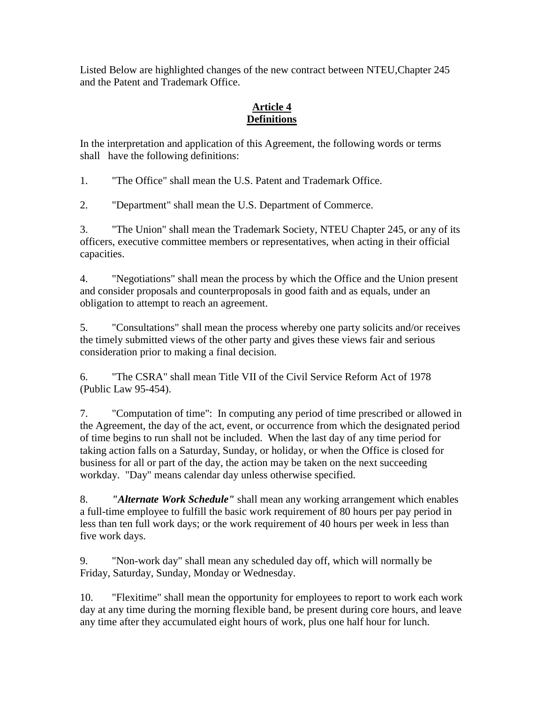Listed Below are highlighted changes of the new contract between NTEU,Chapter 245 and the Patent and Trademark Office.

## **Article 4 Definitions**

In the interpretation and application of this Agreement, the following words or terms shall have the following definitions:

1. "The Office" shall mean the U.S. Patent and Trademark Office.

2. "Department" shall mean the U.S. Department of Commerce.

3. "The Union" shall mean the Trademark Society, NTEU Chapter 245, or any of its officers, executive committee members or representatives, when acting in their official capacities.

4. "Negotiations" shall mean the process by which the Office and the Union present and consider proposals and counterproposals in good faith and as equals, under an obligation to attempt to reach an agreement.

5. "Consultations" shall mean the process whereby one party solicits and/or receives the timely submitted views of the other party and gives these views fair and serious consideration prior to making a final decision.

6. "The CSRA" shall mean Title VII of the Civil Service Reform Act of 1978 (Public Law 95-454).

7. "Computation of time": In computing any period of time prescribed or allowed in the Agreement, the day of the act, event, or occurrence from which the designated period of time begins to run shall not be included. When the last day of any time period for taking action falls on a Saturday, Sunday, or holiday, or when the Office is closed for business for all or part of the day, the action may be taken on the next succeeding workday. "Day" means calendar day unless otherwise specified.

8. *"Alternate Work Schedule"* shall mean any working arrangement which enables a full-time employee to fulfill the basic work requirement of 80 hours per pay period in less than ten full work days; or the work requirement of 40 hours per week in less than five work days.

9. "Non-work day" shall mean any scheduled day off, which will normally be Friday, Saturday, Sunday, Monday or Wednesday.

10. "Flexitime" shall mean the opportunity for employees to report to work each work day at any time during the morning flexible band, be present during core hours, and leave any time after they accumulated eight hours of work, plus one half hour for lunch.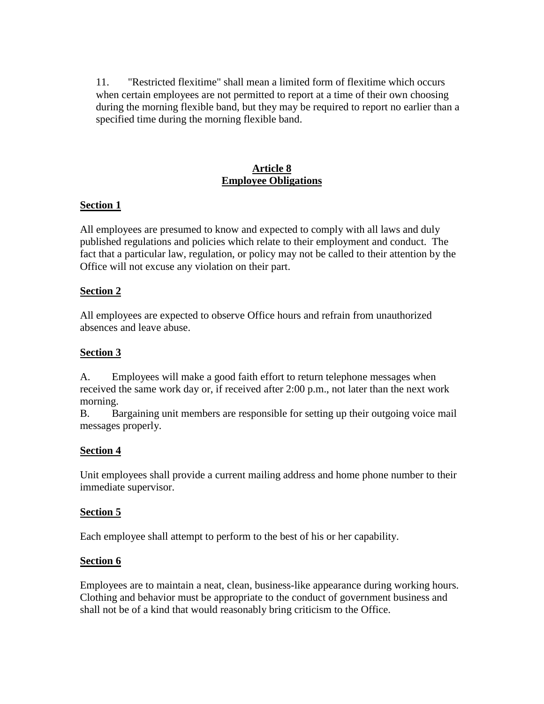11. "Restricted flexitime" shall mean a limited form of flexitime which occurs when certain employees are not permitted to report at a time of their own choosing during the morning flexible band, but they may be required to report no earlier than a specified time during the morning flexible band.

### **Article 8 Employee Obligations**

## **Section 1**

All employees are presumed to know and expected to comply with all laws and duly published regulations and policies which relate to their employment and conduct. The fact that a particular law, regulation, or policy may not be called to their attention by the Office will not excuse any violation on their part.

## **Section 2**

All employees are expected to observe Office hours and refrain from unauthorized absences and leave abuse.

## **Section 3**

A. Employees will make a good faith effort to return telephone messages when received the same work day or, if received after 2:00 p.m., not later than the next work morning.

B. Bargaining unit members are responsible for setting up their outgoing voice mail messages properly.

### **Section 4**

Unit employees shall provide a current mailing address and home phone number to their immediate supervisor.

## **Section 5**

Each employee shall attempt to perform to the best of his or her capability.

### **Section 6**

Employees are to maintain a neat, clean, business-like appearance during working hours. Clothing and behavior must be appropriate to the conduct of government business and shall not be of a kind that would reasonably bring criticism to the Office.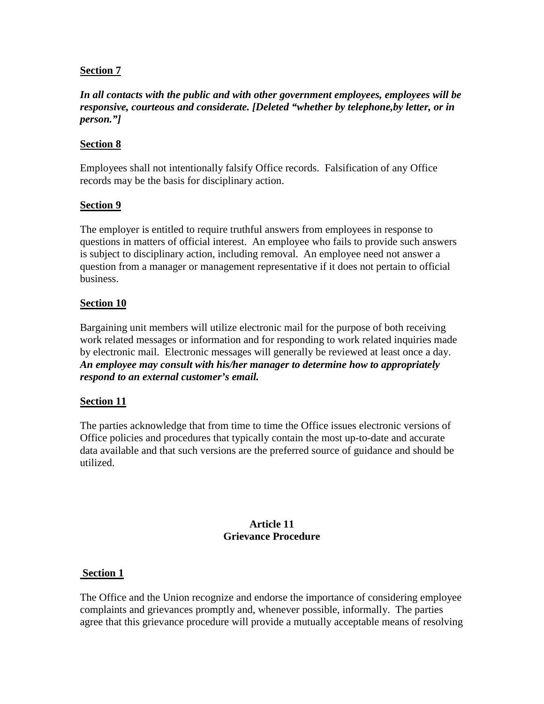### **Section 7**

*In all contacts with the public and with other government employees, employees will be responsive, courteous and considerate. [Deleted "whether by telephone,by letter, or in person."]*

## **Section 8**

Employees shall not intentionally falsify Office records. Falsification of any Office records may be the basis for disciplinary action.

## **Section 9**

The employer is entitled to require truthful answers from employees in response to questions in matters of official interest. An employee who fails to provide such answers is subject to disciplinary action, including removal. An employee need not answer a question from a manager or management representative if it does not pertain to official business.

## **Section 10**

Bargaining unit members will utilize electronic mail for the purpose of both receiving work related messages or information and for responding to work related inquiries made by electronic mail. Electronic messages will generally be reviewed at least once a day. *An employee may consult with his/her manager to determine how to appropriately respond to an external customer's email.*

### **Section 11**

The parties acknowledge that from time to time the Office issues electronic versions of Office policies and procedures that typically contain the most up-to-date and accurate data available and that such versions are the preferred source of guidance and should be utilized.

#### **Article 11 Grievance Procedure**

### **Section 1**

The Office and the Union recognize and endorse the importance of considering employee complaints and grievances promptly and, whenever possible, informally. The parties agree that this grievance procedure will provide a mutually acceptable means of resolving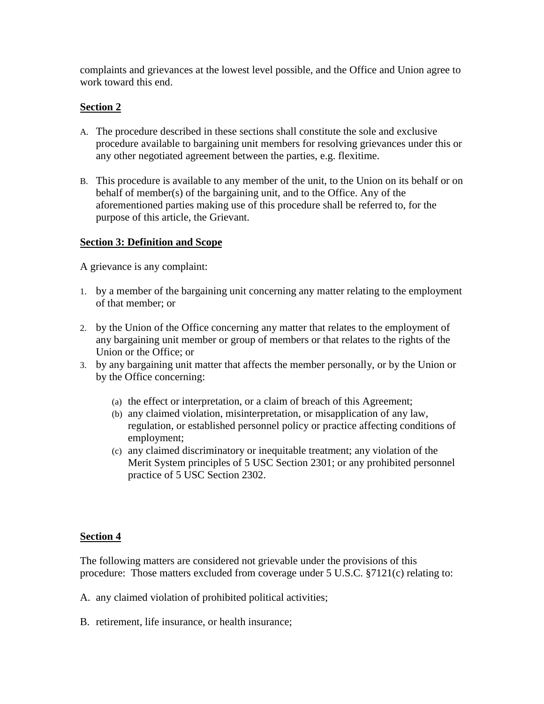complaints and grievances at the lowest level possible, and the Office and Union agree to work toward this end.

### **Section 2**

- A. The procedure described in these sections shall constitute the sole and exclusive procedure available to bargaining unit members for resolving grievances under this or any other negotiated agreement between the parties, e.g. flexitime.
- B. This procedure is available to any member of the unit, to the Union on its behalf or on behalf of member(s) of the bargaining unit, and to the Office. Any of the aforementioned parties making use of this procedure shall be referred to, for the purpose of this article, the Grievant.

### **Section 3: Definition and Scope**

A grievance is any complaint:

- 1. by a member of the bargaining unit concerning any matter relating to the employment of that member; or
- 2. by the Union of the Office concerning any matter that relates to the employment of any bargaining unit member or group of members or that relates to the rights of the Union or the Office; or
- 3. by any bargaining unit matter that affects the member personally, or by the Union or by the Office concerning:
	- (a) the effect or interpretation, or a claim of breach of this Agreement;
	- (b) any claimed violation, misinterpretation, or misapplication of any law, regulation, or established personnel policy or practice affecting conditions of employment;
	- (c) any claimed discriminatory or inequitable treatment; any violation of the Merit System principles of 5 USC Section 2301; or any prohibited personnel practice of 5 USC Section 2302.

## **Section 4**

The following matters are considered not grievable under the provisions of this procedure: Those matters excluded from coverage under 5 U.S.C. §7121(c) relating to:

- A. any claimed violation of prohibited political activities;
- B. retirement, life insurance, or health insurance;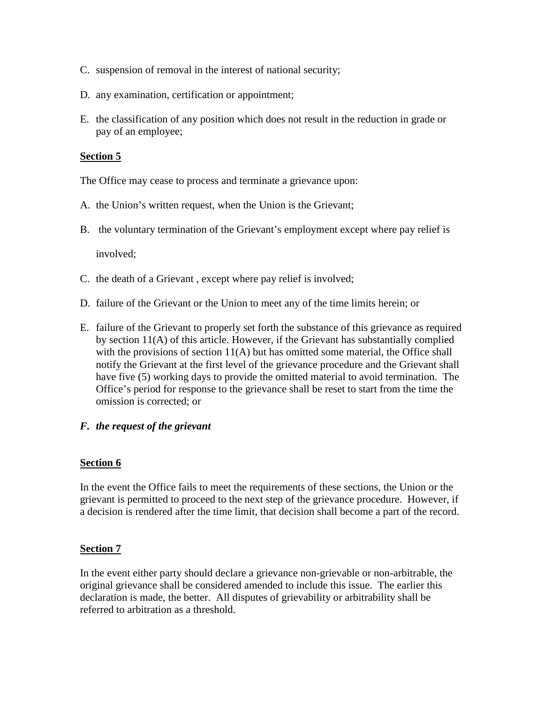- C. suspension of removal in the interest of national security;
- D. any examination, certification or appointment;
- E. the classification of any position which does not result in the reduction in grade or pay of an employee;

### **Section 5**

The Office may cease to process and terminate a grievance upon:

- A. the Union's written request, when the Union is the Grievant;
- B. the voluntary termination of the Grievant's employment except where pay relief is

involved;

- C. the death of a Grievant , except where pay relief is involved;
- D. failure of the Grievant or the Union to meet any of the time limits herein; or
- E. failure of the Grievant to properly set forth the substance of this grievance as required by section 11(A) of this article. However, if the Grievant has substantially complied with the provisions of section 11(A) but has omitted some material, the Office shall notify the Grievant at the first level of the grievance procedure and the Grievant shall have five (5) working days to provide the omitted material to avoid termination. The Office's period for response to the grievance shall be reset to start from the time the omission is corrected; or

### *F. the request of the grievant*

### **Section 6**

In the event the Office fails to meet the requirements of these sections, the Union or the grievant is permitted to proceed to the next step of the grievance procedure. However, if a decision is rendered after the time limit, that decision shall become a part of the record.

### **Section 7**

In the event either party should declare a grievance non-grievable or non-arbitrable, the original grievance shall be considered amended to include this issue. The earlier this declaration is made, the better. All disputes of grievability or arbitrability shall be referred to arbitration as a threshold.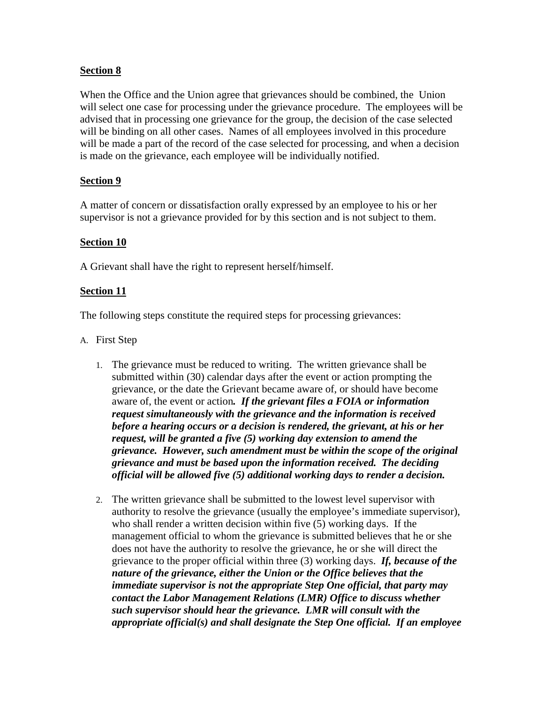### **Section 8**

When the Office and the Union agree that grievances should be combined, the Union will select one case for processing under the grievance procedure. The employees will be advised that in processing one grievance for the group, the decision of the case selected will be binding on all other cases. Names of all employees involved in this procedure will be made a part of the record of the case selected for processing, and when a decision is made on the grievance, each employee will be individually notified.

## **Section 9**

A matter of concern or dissatisfaction orally expressed by an employee to his or her supervisor is not a grievance provided for by this section and is not subject to them.

### **Section 10**

A Grievant shall have the right to represent herself/himself.

#### **Section 11**

The following steps constitute the required steps for processing grievances:

- A. First Step
	- 1. The grievance must be reduced to writing. The written grievance shall be submitted within (30) calendar days after the event or action prompting the grievance, or the date the Grievant became aware of, or should have become aware of, the event or action*. If the grievant files a FOIA or information request simultaneously with the grievance and the information is received before a hearing occurs or a decision is rendered, the grievant, at his or her request, will be granted a five (5) working day extension to amend the grievance. However, such amendment must be within the scope of the original grievance and must be based upon the information received. The deciding official will be allowed five (5) additional working days to render a decision.*
	- 2. The written grievance shall be submitted to the lowest level supervisor with authority to resolve the grievance (usually the employee's immediate supervisor), who shall render a written decision within five (5) working days. If the management official to whom the grievance is submitted believes that he or she does not have the authority to resolve the grievance, he or she will direct the grievance to the proper official within three (3) working days. *If, because of the nature of the grievance, either the Union or the Office believes that the immediate supervisor is not the appropriate Step One official, that party may contact the Labor Management Relations (LMR) Office to discuss whether such supervisor should hear the grievance. LMR will consult with the appropriate official(s) and shall designate the Step One official. If an employee*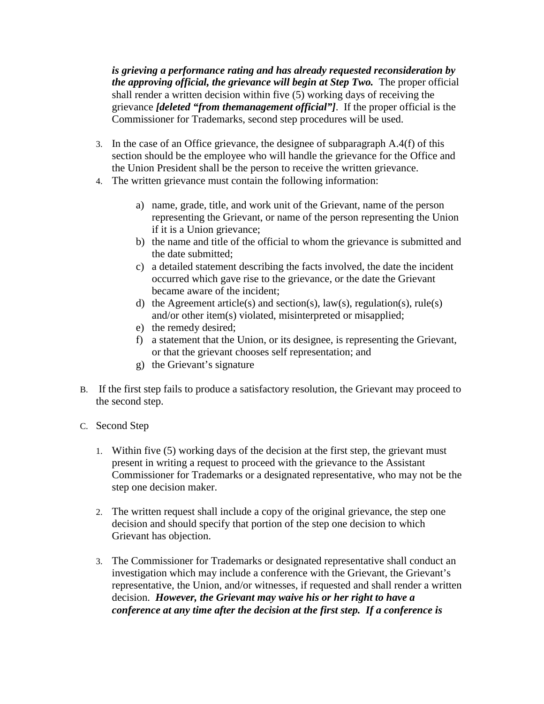*is grieving a performance rating and has already requested reconsideration by the approving official, the grievance will begin at Step Two.* The proper official shall render a written decision within five  $(5)$  working days of receiving the grievance *[deleted "from themanagement official"]*. If the proper official is the Commissioner for Trademarks, second step procedures will be used.

- 3. In the case of an Office grievance, the designee of subparagraph A.4(f) of this section should be the employee who will handle the grievance for the Office and the Union President shall be the person to receive the written grievance.
- 4. The written grievance must contain the following information:
	- a) name, grade, title, and work unit of the Grievant, name of the person representing the Grievant, or name of the person representing the Union if it is a Union grievance;
	- b) the name and title of the official to whom the grievance is submitted and the date submitted;
	- c) a detailed statement describing the facts involved, the date the incident occurred which gave rise to the grievance, or the date the Grievant became aware of the incident;
	- d) the Agreement article(s) and section(s),  $law(s)$ , regulation(s), rule(s) and/or other item(s) violated, misinterpreted or misapplied;
	- e) the remedy desired;
	- f) a statement that the Union, or its designee, is representing the Grievant, or that the grievant chooses self representation; and
	- g) the Grievant's signature
- B. If the first step fails to produce a satisfactory resolution, the Grievant may proceed to the second step.
- C. Second Step
	- 1. Within five (5) working days of the decision at the first step, the grievant must present in writing a request to proceed with the grievance to the Assistant Commissioner for Trademarks or a designated representative, who may not be the step one decision maker.
	- 2. The written request shall include a copy of the original grievance, the step one decision and should specify that portion of the step one decision to which Grievant has objection.
	- 3. The Commissioner for Trademarks or designated representative shall conduct an investigation which may include a conference with the Grievant, the Grievant's representative, the Union, and/or witnesses, if requested and shall render a written decision. *However, the Grievant may waive his or her right to have a conference at any time after the decision at the first step. If a conference is*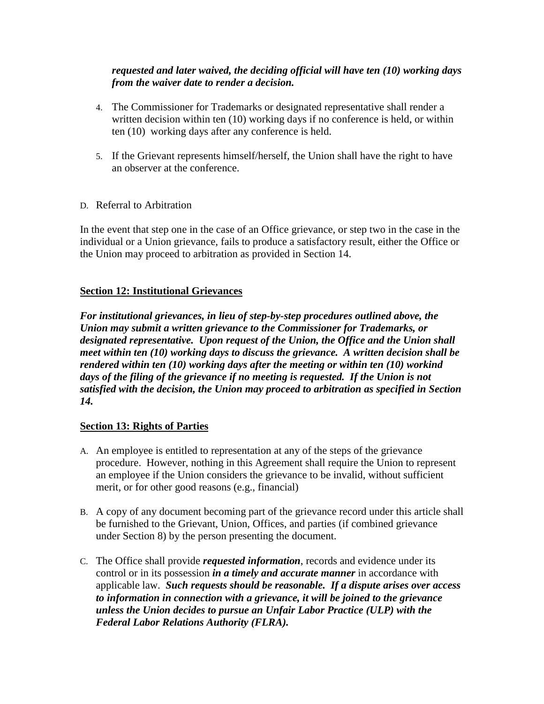### *requested and later waived, the deciding official will have ten (10) working days from the waiver date to render a decision.*

- 4. The Commissioner for Trademarks or designated representative shall render a written decision within ten (10) working days if no conference is held, or within ten (10) working days after any conference is held.
- 5. If the Grievant represents himself/herself, the Union shall have the right to have an observer at the conference.
- D. Referral to Arbitration

In the event that step one in the case of an Office grievance, or step two in the case in the individual or a Union grievance, fails to produce a satisfactory result, either the Office or the Union may proceed to arbitration as provided in Section 14.

## **Section 12: Institutional Grievances**

*For institutional grievances, in lieu of step-by-step procedures outlined above, the Union may submit a written grievance to the Commissioner for Trademarks, or designated representative. Upon request of the Union, the Office and the Union shall meet within ten (10) working days to discuss the grievance. A written decision shall be rendered within ten (10) working days after the meeting or within ten (10) workind days of the filing of the grievance if no meeting is requested. If the Union is not satisfied with the decision, the Union may proceed to arbitration as specified in Section 14.*

### **Section 13: Rights of Parties**

- A. An employee is entitled to representation at any of the steps of the grievance procedure. However, nothing in this Agreement shall require the Union to represent an employee if the Union considers the grievance to be invalid, without sufficient merit, or for other good reasons (e.g., financial)
- B. A copy of any document becoming part of the grievance record under this article shall be furnished to the Grievant, Union, Offices, and parties (if combined grievance under Section 8) by the person presenting the document.
- C. The Office shall provide *requested information*, records and evidence under its control or in its possession *in a timely and accurate manner* in accordance with applicable law. *Such requests should be reasonable. If a dispute arises over access to information in connection with a grievance, it will be joined to the grievance unless the Union decides to pursue an Unfair Labor Practice (ULP) with the Federal Labor Relations Authority (FLRA).*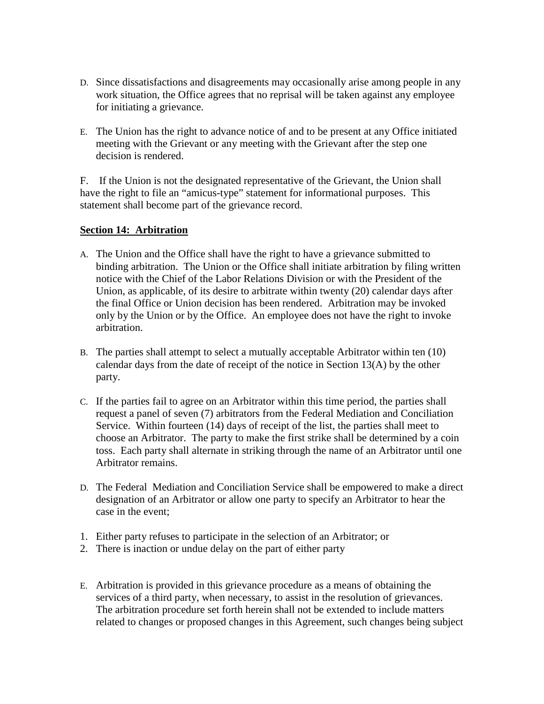- D. Since dissatisfactions and disagreements may occasionally arise among people in any work situation, the Office agrees that no reprisal will be taken against any employee for initiating a grievance.
- E. The Union has the right to advance notice of and to be present at any Office initiated meeting with the Grievant or any meeting with the Grievant after the step one decision is rendered.

F. If the Union is not the designated representative of the Grievant, the Union shall have the right to file an "amicus-type" statement for informational purposes. This statement shall become part of the grievance record.

### **Section 14: Arbitration**

- A. The Union and the Office shall have the right to have a grievance submitted to binding arbitration. The Union or the Office shall initiate arbitration by filing written notice with the Chief of the Labor Relations Division or with the President of the Union, as applicable, of its desire to arbitrate within twenty (20) calendar days after the final Office or Union decision has been rendered. Arbitration may be invoked only by the Union or by the Office. An employee does not have the right to invoke arbitration.
- B. The parties shall attempt to select a mutually acceptable Arbitrator within ten (10) calendar days from the date of receipt of the notice in Section 13(A) by the other party.
- C. If the parties fail to agree on an Arbitrator within this time period, the parties shall request a panel of seven (7) arbitrators from the Federal Mediation and Conciliation Service. Within fourteen (14) days of receipt of the list, the parties shall meet to choose an Arbitrator. The party to make the first strike shall be determined by a coin toss. Each party shall alternate in striking through the name of an Arbitrator until one Arbitrator remains.
- D. The Federal Mediation and Conciliation Service shall be empowered to make a direct designation of an Arbitrator or allow one party to specify an Arbitrator to hear the case in the event;
- 1. Either party refuses to participate in the selection of an Arbitrator; or
- 2. There is inaction or undue delay on the part of either party
- E. Arbitration is provided in this grievance procedure as a means of obtaining the services of a third party, when necessary, to assist in the resolution of grievances. The arbitration procedure set forth herein shall not be extended to include matters related to changes or proposed changes in this Agreement, such changes being subject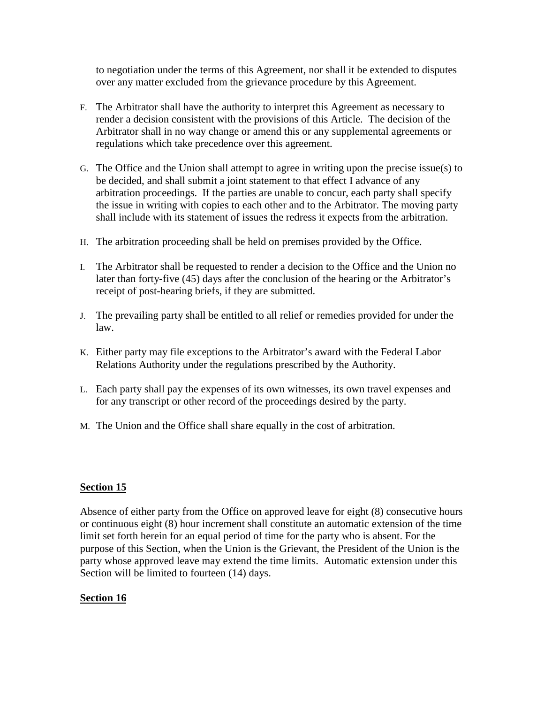to negotiation under the terms of this Agreement, nor shall it be extended to disputes over any matter excluded from the grievance procedure by this Agreement.

- F. The Arbitrator shall have the authority to interpret this Agreement as necessary to render a decision consistent with the provisions of this Article. The decision of the Arbitrator shall in no way change or amend this or any supplemental agreements or regulations which take precedence over this agreement.
- G. The Office and the Union shall attempt to agree in writing upon the precise issue(s) to be decided, and shall submit a joint statement to that effect I advance of any arbitration proceedings. If the parties are unable to concur, each party shall specify the issue in writing with copies to each other and to the Arbitrator. The moving party shall include with its statement of issues the redress it expects from the arbitration.
- H. The arbitration proceeding shall be held on premises provided by the Office.
- I. The Arbitrator shall be requested to render a decision to the Office and the Union no later than forty-five (45) days after the conclusion of the hearing or the Arbitrator's receipt of post-hearing briefs, if they are submitted.
- J. The prevailing party shall be entitled to all relief or remedies provided for under the law.
- K. Either party may file exceptions to the Arbitrator's award with the Federal Labor Relations Authority under the regulations prescribed by the Authority.
- L. Each party shall pay the expenses of its own witnesses, its own travel expenses and for any transcript or other record of the proceedings desired by the party.
- M. The Union and the Office shall share equally in the cost of arbitration.

### **Section 15**

Absence of either party from the Office on approved leave for eight (8) consecutive hours or continuous eight (8) hour increment shall constitute an automatic extension of the time limit set forth herein for an equal period of time for the party who is absent. For the purpose of this Section, when the Union is the Grievant, the President of the Union is the party whose approved leave may extend the time limits. Automatic extension under this Section will be limited to fourteen (14) days.

### **Section 16**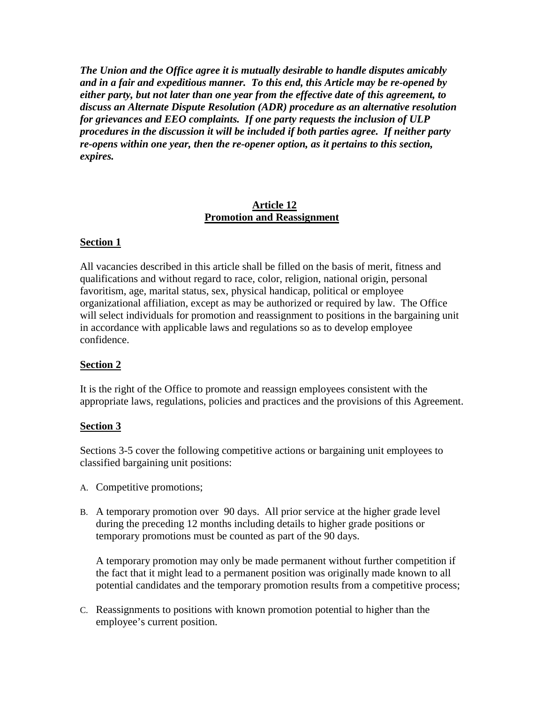*The Union and the Office agree it is mutually desirable to handle disputes amicably and in a fair and expeditious manner. To this end, this Article may be re-opened by either party, but not later than one year from the effective date of this agreement, to discuss an Alternate Dispute Resolution (ADR) procedure as an alternative resolution for grievances and EEO complaints. If one party requests the inclusion of ULP procedures in the discussion it will be included if both parties agree. If neither party re-opens within one year, then the re-opener option, as it pertains to this section, expires.*

#### **Article 12 Promotion and Reassignment**

### **Section 1**

All vacancies described in this article shall be filled on the basis of merit, fitness and qualifications and without regard to race, color, religion, national origin, personal favoritism, age, marital status, sex, physical handicap, political or employee organizational affiliation, except as may be authorized or required by law. The Office will select individuals for promotion and reassignment to positions in the bargaining unit in accordance with applicable laws and regulations so as to develop employee confidence.

### **Section 2**

It is the right of the Office to promote and reassign employees consistent with the appropriate laws, regulations, policies and practices and the provisions of this Agreement.

### **Section 3**

Sections 3-5 cover the following competitive actions or bargaining unit employees to classified bargaining unit positions:

- A. Competitive promotions;
- B. A temporary promotion over 90 days. All prior service at the higher grade level during the preceding 12 months including details to higher grade positions or temporary promotions must be counted as part of the 90 days.

A temporary promotion may only be made permanent without further competition if the fact that it might lead to a permanent position was originally made known to all potential candidates and the temporary promotion results from a competitive process;

C. Reassignments to positions with known promotion potential to higher than the employee's current position.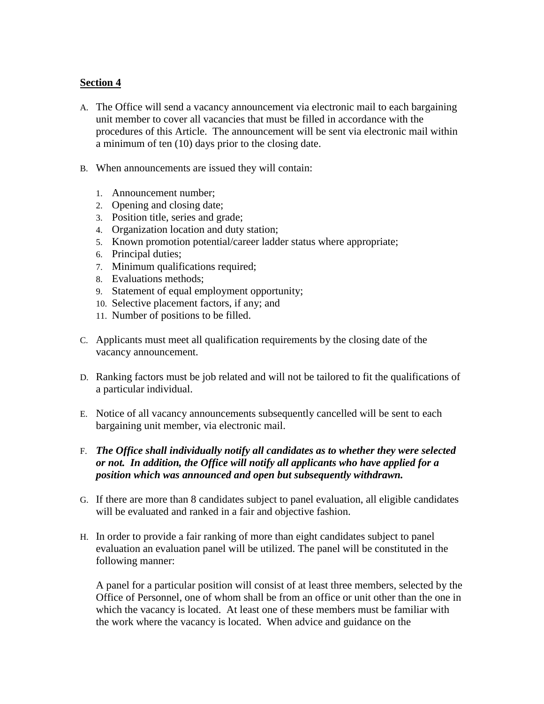### **Section 4**

- A. The Office will send a vacancy announcement via electronic mail to each bargaining unit member to cover all vacancies that must be filled in accordance with the procedures of this Article. The announcement will be sent via electronic mail within a minimum of ten (10) days prior to the closing date.
- B. When announcements are issued they will contain:
	- 1. Announcement number;
	- 2. Opening and closing date;
	- 3. Position title, series and grade;
	- 4. Organization location and duty station;
	- 5. Known promotion potential/career ladder status where appropriate;
	- 6. Principal duties;
	- 7. Minimum qualifications required;
	- 8. Evaluations methods;
	- 9. Statement of equal employment opportunity;
	- 10. Selective placement factors, if any; and
	- 11. Number of positions to be filled.
- C. Applicants must meet all qualification requirements by the closing date of the vacancy announcement.
- D. Ranking factors must be job related and will not be tailored to fit the qualifications of a particular individual.
- E. Notice of all vacancy announcements subsequently cancelled will be sent to each bargaining unit member, via electronic mail.
- F. *The Office shall individually notify all candidates as to whether they were selected or not. In addition, the Office will notify all applicants who have applied for a position which was announced and open but subsequently withdrawn.*
- G. If there are more than 8 candidates subject to panel evaluation, all eligible candidates will be evaluated and ranked in a fair and objective fashion.
- H. In order to provide a fair ranking of more than eight candidates subject to panel evaluation an evaluation panel will be utilized. The panel will be constituted in the following manner:

A panel for a particular position will consist of at least three members, selected by the Office of Personnel, one of whom shall be from an office or unit other than the one in which the vacancy is located. At least one of these members must be familiar with the work where the vacancy is located. When advice and guidance on the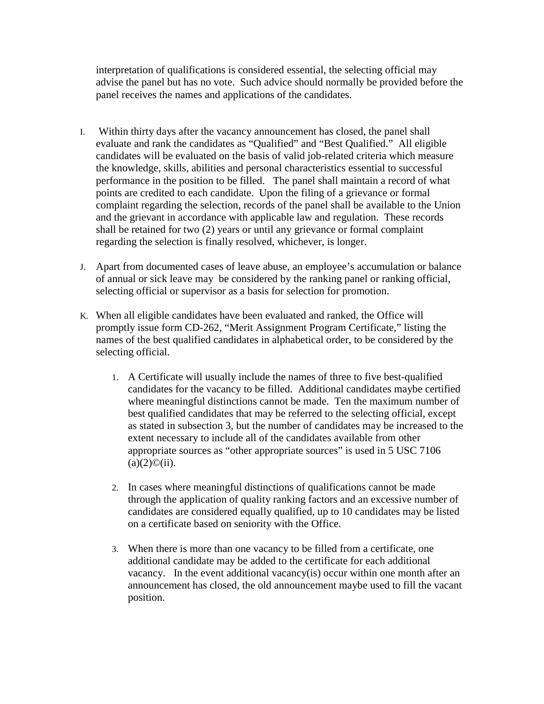interpretation of qualifications is considered essential, the selecting official may advise the panel but has no vote. Such advice should normally be provided before the panel receives the names and applications of the candidates.

- I. Within thirty days after the vacancy announcement has closed, the panel shall evaluate and rank the candidates as "Qualified" and "Best Qualified." All eligible candidates will be evaluated on the basis of valid job-related criteria which measure the knowledge, skills, abilities and personal characteristics essential to successful performance in the position to be filled. The panel shall maintain a record of what points are credited to each candidate. Upon the filing of a grievance or formal complaint regarding the selection, records of the panel shall be available to the Union and the grievant in accordance with applicable law and regulation. These records shall be retained for two (2) years or until any grievance or formal complaint regarding the selection is finally resolved, whichever, is longer.
- J. Apart from documented cases of leave abuse, an employee's accumulation or balance of annual or sick leave may be considered by the ranking panel or ranking official, selecting official or supervisor as a basis for selection for promotion.
- K. When all eligible candidates have been evaluated and ranked, the Office will promptly issue form CD-262, "Merit Assignment Program Certificate," listing the names of the best qualified candidates in alphabetical order, to be considered by the selecting official.
	- 1. A Certificate will usually include the names of three to five best-qualified candidates for the vacancy to be filled. Additional candidates maybe certified where meaningful distinctions cannot be made. Ten the maximum number of best qualified candidates that may be referred to the selecting official, except as stated in subsection 3, but the number of candidates may be increased to the extent necessary to include all of the candidates available from other appropriate sources as "other appropriate sources" is used in 5 USC 7106  $(a)(2)\mathbb{O}(ii)$ .
	- 2. In cases where meaningful distinctions of qualifications cannot be made through the application of quality ranking factors and an excessive number of candidates are considered equally qualified, up to 10 candidates may be listed on a certificate based on seniority with the Office.
	- 3. When there is more than one vacancy to be filled from a certificate, one additional candidate may be added to the certificate for each additional vacancy. In the event additional vacancy(is) occur within one month after an announcement has closed, the old announcement maybe used to fill the vacant position.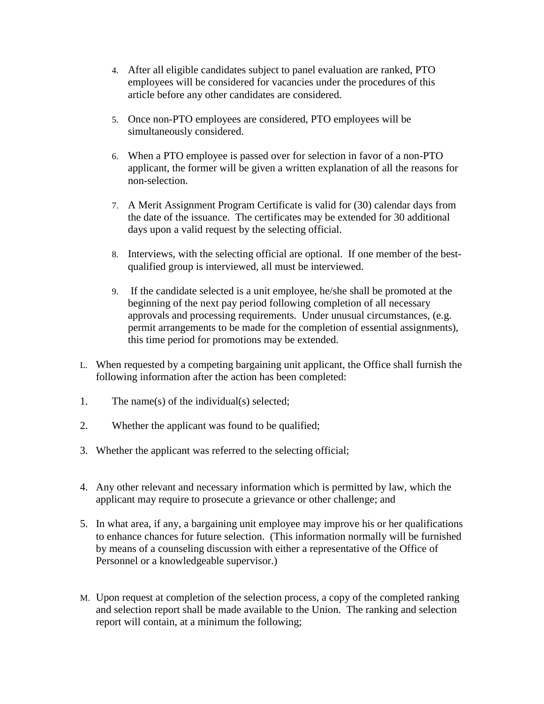- 4. After all eligible candidates subject to panel evaluation are ranked, PTO employees will be considered for vacancies under the procedures of this article before any other candidates are considered.
- 5. Once non-PTO employees are considered, PTO employees will be simultaneously considered.
- 6. When a PTO employee is passed over for selection in favor of a non-PTO applicant, the former will be given a written explanation of all the reasons for non-selection.
- 7. A Merit Assignment Program Certificate is valid for (30) calendar days from the date of the issuance. The certificates may be extended for 30 additional days upon a valid request by the selecting official.
- 8. Interviews, with the selecting official are optional. If one member of the bestqualified group is interviewed, all must be interviewed.
- 9. If the candidate selected is a unit employee, he/she shall be promoted at the beginning of the next pay period following completion of all necessary approvals and processing requirements. Under unusual circumstances, (e.g. permit arrangements to be made for the completion of essential assignments), this time period for promotions may be extended.
- L. When requested by a competing bargaining unit applicant, the Office shall furnish the following information after the action has been completed:
- 1. The name(s) of the individual(s) selected;
- 2. Whether the applicant was found to be qualified;
- 3. Whether the applicant was referred to the selecting official;
- 4. Any other relevant and necessary information which is permitted by law, which the applicant may require to prosecute a grievance or other challenge; and
- 5. In what area, if any, a bargaining unit employee may improve his or her qualifications to enhance chances for future selection. (This information normally will be furnished by means of a counseling discussion with either a representative of the Office of Personnel or a knowledgeable supervisor.)
- M. Upon request at completion of the selection process, a copy of the completed ranking and selection report shall be made available to the Union. The ranking and selection report will contain, at a minimum the following;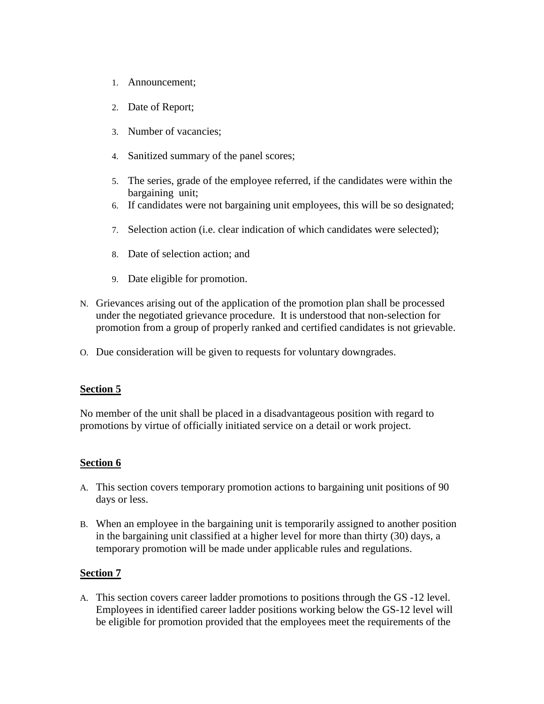- 1. Announcement;
- 2. Date of Report;
- 3. Number of vacancies;
- 4. Sanitized summary of the panel scores;
- 5. The series, grade of the employee referred, if the candidates were within the bargaining unit;
- 6. If candidates were not bargaining unit employees, this will be so designated;
- 7. Selection action (i.e. clear indication of which candidates were selected);
- 8. Date of selection action; and
- 9. Date eligible for promotion.
- N. Grievances arising out of the application of the promotion plan shall be processed under the negotiated grievance procedure. It is understood that non-selection for promotion from a group of properly ranked and certified candidates is not grievable.
- O. Due consideration will be given to requests for voluntary downgrades.

### **Section 5**

No member of the unit shall be placed in a disadvantageous position with regard to promotions by virtue of officially initiated service on a detail or work project.

### **Section 6**

- A. This section covers temporary promotion actions to bargaining unit positions of 90 days or less.
- B. When an employee in the bargaining unit is temporarily assigned to another position in the bargaining unit classified at a higher level for more than thirty (30) days, a temporary promotion will be made under applicable rules and regulations.

### **Section 7**

A. This section covers career ladder promotions to positions through the GS -12 level. Employees in identified career ladder positions working below the GS-12 level will be eligible for promotion provided that the employees meet the requirements of the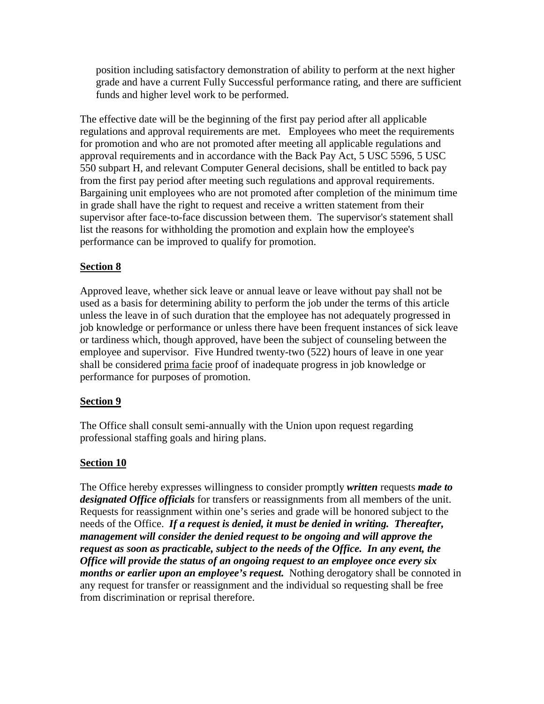position including satisfactory demonstration of ability to perform at the next higher grade and have a current Fully Successful performance rating, and there are sufficient funds and higher level work to be performed.

The effective date will be the beginning of the first pay period after all applicable regulations and approval requirements are met. Employees who meet the requirements for promotion and who are not promoted after meeting all applicable regulations and approval requirements and in accordance with the Back Pay Act, 5 USC 5596, 5 USC 550 subpart H, and relevant Computer General decisions, shall be entitled to back pay from the first pay period after meeting such regulations and approval requirements. Bargaining unit employees who are not promoted after completion of the minimum time in grade shall have the right to request and receive a written statement from their supervisor after face-to-face discussion between them. The supervisor's statement shall list the reasons for withholding the promotion and explain how the employee's performance can be improved to qualify for promotion.

## **Section 8**

Approved leave, whether sick leave or annual leave or leave without pay shall not be used as a basis for determining ability to perform the job under the terms of this article unless the leave in of such duration that the employee has not adequately progressed in job knowledge or performance or unless there have been frequent instances of sick leave or tardiness which, though approved, have been the subject of counseling between the employee and supervisor. Five Hundred twenty-two (522) hours of leave in one year shall be considered prima facie proof of inadequate progress in job knowledge or performance for purposes of promotion.

### **Section 9**

The Office shall consult semi-annually with the Union upon request regarding professional staffing goals and hiring plans.

### **Section 10**

The Office hereby expresses willingness to consider promptly *written* requests *made to designated Office officials* for transfers or reassignments from all members of the unit. Requests for reassignment within one's series and grade will be honored subject to the needs of the Office. *If a request is denied, it must be denied in writing. Thereafter, management will consider the denied request to be ongoing and will approve the request as soon as practicable, subject to the needs of the Office. In any event, the Office will provide the status of an ongoing request to an employee once every six months or earlier upon an employee's request.* Nothing derogatory shall be connoted in any request for transfer or reassignment and the individual so requesting shall be free from discrimination or reprisal therefore.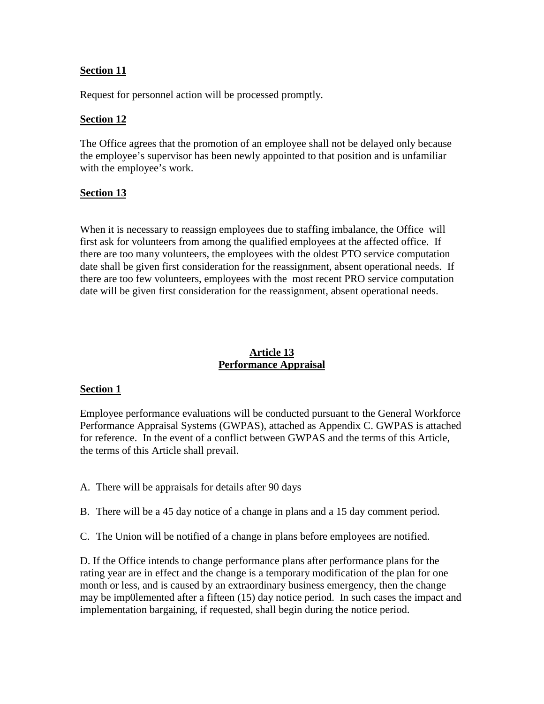### **Section 11**

Request for personnel action will be processed promptly.

#### **Section 12**

The Office agrees that the promotion of an employee shall not be delayed only because the employee's supervisor has been newly appointed to that position and is unfamiliar with the employee's work.

#### **Section 13**

When it is necessary to reassign employees due to staffing imbalance, the Officewill first ask for volunteers from among the qualified employees at the affected office. If there are too many volunteers, the employees with the oldest PTO service computation date shall be given first consideration for the reassignment, absent operational needs. If there are too few volunteers, employees with the most recent PRO service computation date will be given first consideration for the reassignment, absent operational needs.

### **Article 13 Performance Appraisal**

#### **Section 1**

Employee performance evaluations will be conducted pursuant to the General Workforce Performance Appraisal Systems (GWPAS), attached as Appendix C. GWPAS is attached for reference. In the event of a conflict between GWPAS and the terms of this Article, the terms of this Article shall prevail.

- A. There will be appraisals for details after 90 days
- B. There will be a 45 day notice of a change in plans and a 15 day comment period.
- C. The Union will be notified of a change in plans before employees are notified.

D. If the Office intends to change performance plans after performance plans for the rating year are in effect and the change is a temporary modification of the plan for one month or less, and is caused by an extraordinary business emergency, then the change may be imp0lemented after a fifteen (15) day notice period. In such cases the impact and implementation bargaining, if requested, shall begin during the notice period.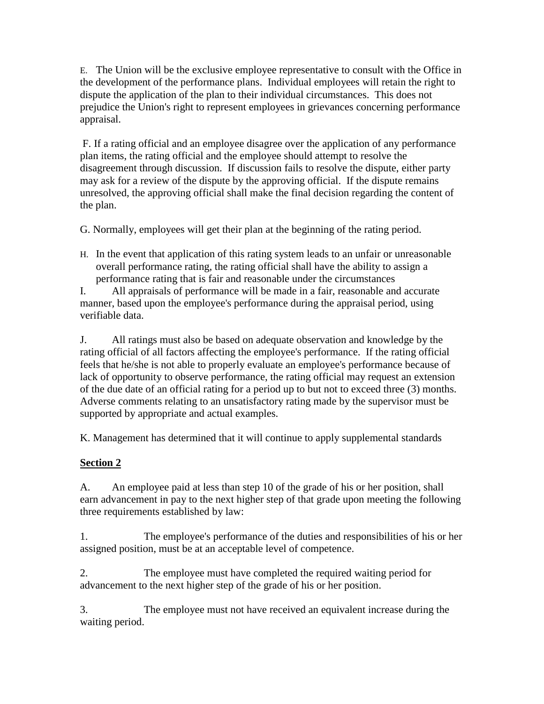E. The Union will be the exclusive employee representative to consult with the Office in the development of the performance plans. Individual employees will retain the right to dispute the application of the plan to their individual circumstances. This does not prejudice the Union's right to represent employees in grievances concerning performance appraisal.

 F. If a rating official and an employee disagree over the application of any performance plan items, the rating official and the employee should attempt to resolve the disagreement through discussion. If discussion fails to resolve the dispute, either party may ask for a review of the dispute by the approving official. If the dispute remains unresolved, the approving official shall make the final decision regarding the content of the plan.

G. Normally, employees will get their plan at the beginning of the rating period.

H. In the event that application of this rating system leads to an unfair or unreasonable overall performance rating, the rating official shall have the ability to assign a performance rating that is fair and reasonable under the circumstances

I. All appraisals of performance will be made in a fair, reasonable and accurate manner, based upon the employee's performance during the appraisal period, using verifiable data.

J. All ratings must also be based on adequate observation and knowledge by the rating official of all factors affecting the employee's performance. If the rating official feels that he/she is not able to properly evaluate an employee's performance because of lack of opportunity to observe performance, the rating official may request an extension of the due date of an official rating for a period up to but not to exceed three (3) months. Adverse comments relating to an unsatisfactory rating made by the supervisor must be supported by appropriate and actual examples.

K. Management has determined that it will continue to apply supplemental standards

# **Section 2**

A. An employee paid at less than step 10 of the grade of his or her position, shall earn advancement in pay to the next higher step of that grade upon meeting the following three requirements established by law:

1. The employee's performance of the duties and responsibilities of his or her assigned position, must be at an acceptable level of competence.

2. The employee must have completed the required waiting period for advancement to the next higher step of the grade of his or her position.

3. The employee must not have received an equivalent increase during the waiting period.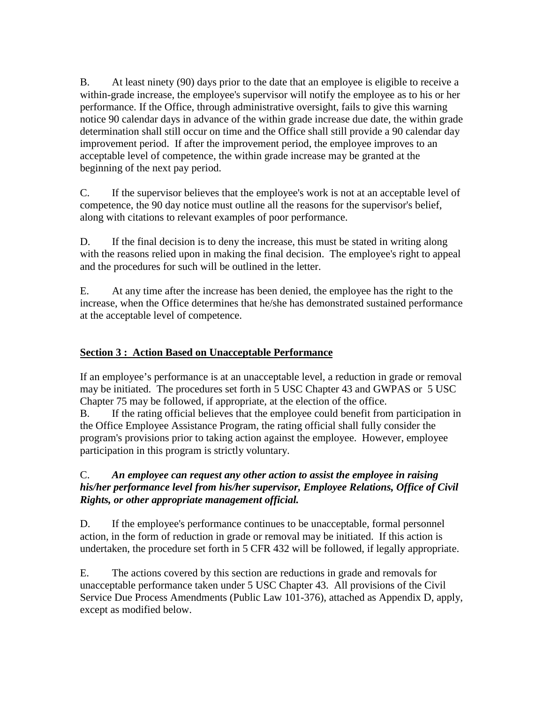B. At least ninety (90) days prior to the date that an employee is eligible to receive a within-grade increase, the employee's supervisor will notify the employee as to his or her performance. If the Office, through administrative oversight, fails to give this warning notice 90 calendar days in advance of the within grade increase due date, the within grade determination shall still occur on time and the Office shall still provide a 90 calendar day improvement period. If after the improvement period, the employee improves to an acceptable level of competence, the within grade increase may be granted at the beginning of the next pay period.

C. If the supervisor believes that the employee's work is not at an acceptable level of competence, the 90 day notice must outline all the reasons for the supervisor's belief, along with citations to relevant examples of poor performance.

D. If the final decision is to deny the increase, this must be stated in writing along with the reasons relied upon in making the final decision. The employee's right to appeal and the procedures for such will be outlined in the letter.

E. At any time after the increase has been denied, the employee has the right to the increase, when the Office determines that he/she has demonstrated sustained performance at the acceptable level of competence.

## **Section 3 : Action Based on Unacceptable Performance**

If an employee's performance is at an unacceptable level, a reduction in grade or removal may be initiated. The procedures set forth in 5 USC Chapter 43 and GWPAS or 5 USC Chapter 75 may be followed, if appropriate, at the election of the office.

B. If the rating official believes that the employee could benefit from participation in the Office Employee Assistance Program, the rating official shall fully consider the program's provisions prior to taking action against the employee. However, employee participation in this program is strictly voluntary.

### C. *An employee can request any other action to assist the employee in raising his/her performance level from his/her supervisor, Employee Relations, Office of Civil Rights, or other appropriate management official.*

D. If the employee's performance continues to be unacceptable, formal personnel action, in the form of reduction in grade or removal may be initiated. If this action is undertaken, the procedure set forth in 5 CFR 432 will be followed, if legally appropriate.

E. The actions covered by this section are reductions in grade and removals for unacceptable performance taken under 5 USC Chapter 43. All provisions of the Civil Service Due Process Amendments (Public Law 101-376), attached as Appendix D, apply, except as modified below.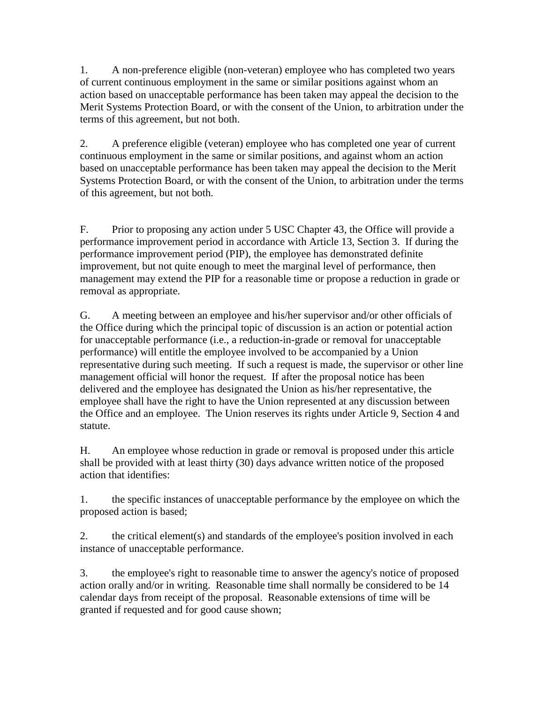1. A non-preference eligible (non-veteran) employee who has completed two years of current continuous employment in the same or similar positions against whom an action based on unacceptable performance has been taken may appeal the decision to the Merit Systems Protection Board, or with the consent of the Union, to arbitration under the terms of this agreement, but not both.

2. A preference eligible (veteran) employee who has completed one year of current continuous employment in the same or similar positions, and against whom an action based on unacceptable performance has been taken may appeal the decision to the Merit Systems Protection Board, or with the consent of the Union, to arbitration under the terms of this agreement, but not both.

F. Prior to proposing any action under 5 USC Chapter 43, the Office will provide a performance improvement period in accordance with Article 13, Section 3. If during the performance improvement period (PIP), the employee has demonstrated definite improvement, but not quite enough to meet the marginal level of performance, then management may extend the PIP for a reasonable time or propose a reduction in grade or removal as appropriate.

G. A meeting between an employee and his/her supervisor and/or other officials of the Office during which the principal topic of discussion is an action or potential action for unacceptable performance (i.e., a reduction-in-grade or removal for unacceptable performance) will entitle the employee involved to be accompanied by a Union representative during such meeting. If such a request is made, the supervisor or other line management official will honor the request. If after the proposal notice has been delivered and the employee has designated the Union as his/her representative, the employee shall have the right to have the Union represented at any discussion between the Office and an employee. The Union reserves its rights under Article 9, Section 4 and statute.

H. An employee whose reduction in grade or removal is proposed under this article shall be provided with at least thirty (30) days advance written notice of the proposed action that identifies:

1. the specific instances of unacceptable performance by the employee on which the proposed action is based;

2. the critical element(s) and standards of the employee's position involved in each instance of unacceptable performance.

3. the employee's right to reasonable time to answer the agency's notice of proposed action orally and/or in writing. Reasonable time shall normally be considered to be 14 calendar days from receipt of the proposal. Reasonable extensions of time will be granted if requested and for good cause shown;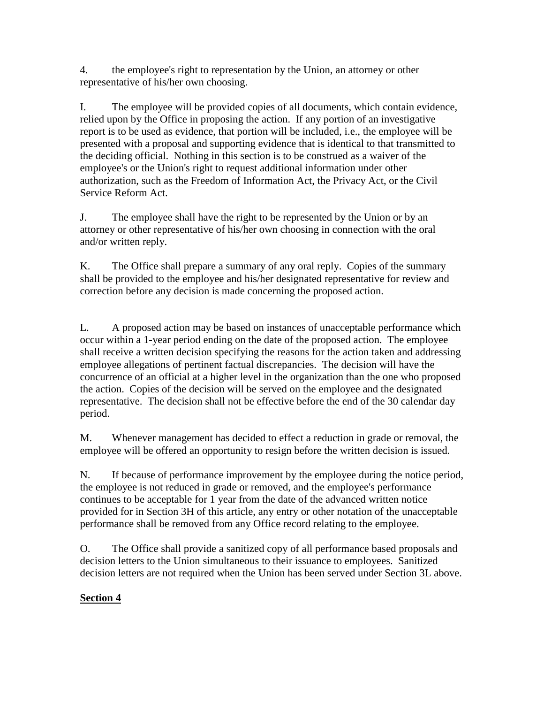4. the employee's right to representation by the Union, an attorney or other representative of his/her own choosing.

I. The employee will be provided copies of all documents, which contain evidence, relied upon by the Office in proposing the action. If any portion of an investigative report is to be used as evidence, that portion will be included, i.e., the employee will be presented with a proposal and supporting evidence that is identical to that transmitted to the deciding official. Nothing in this section is to be construed as a waiver of the employee's or the Union's right to request additional information under other authorization, such as the Freedom of Information Act, the Privacy Act, or the Civil Service Reform Act.

J. The employee shall have the right to be represented by the Union or by an attorney or other representative of his/her own choosing in connection with the oral and/or written reply.

K. The Office shall prepare a summary of any oral reply. Copies of the summary shall be provided to the employee and his/her designated representative for review and correction before any decision is made concerning the proposed action.

L. A proposed action may be based on instances of unacceptable performance which occur within a 1-year period ending on the date of the proposed action. The employee shall receive a written decision specifying the reasons for the action taken and addressing employee allegations of pertinent factual discrepancies. The decision will have the concurrence of an official at a higher level in the organization than the one who proposed the action. Copies of the decision will be served on the employee and the designated representative. The decision shall not be effective before the end of the 30 calendar day period.

M. Whenever management has decided to effect a reduction in grade or removal, the employee will be offered an opportunity to resign before the written decision is issued.

N. If because of performance improvement by the employee during the notice period, the employee is not reduced in grade or removed, and the employee's performance continues to be acceptable for 1 year from the date of the advanced written notice provided for in Section 3H of this article, any entry or other notation of the unacceptable performance shall be removed from any Office record relating to the employee.

O. The Office shall provide a sanitized copy of all performance based proposals and decision letters to the Union simultaneous to their issuance to employees. Sanitized decision letters are not required when the Union has been served under Section 3L above.

## **Section 4**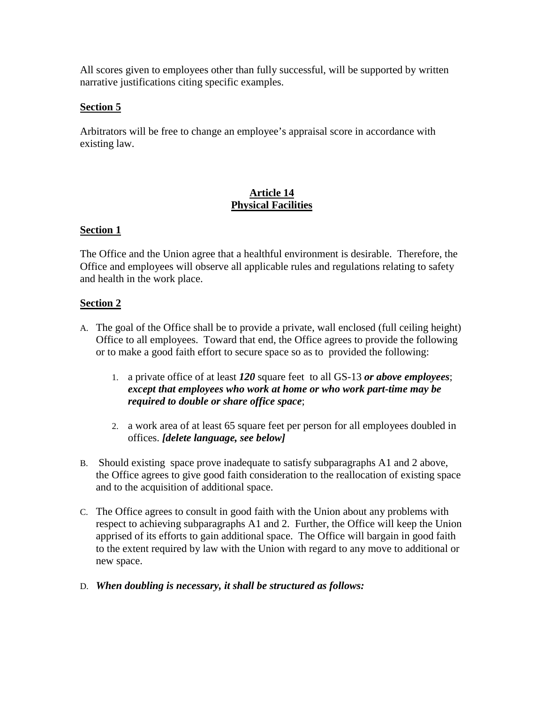All scores given to employees other than fully successful, will be supported by written narrative justifications citing specific examples.

## **Section 5**

Arbitrators will be free to change an employee's appraisal score in accordance with existing law.

## **Article 14 Physical Facilities**

## **Section 1**

The Office and the Union agree that a healthful environment is desirable. Therefore, the Office and employees will observe all applicable rules and regulations relating to safety and health in the work place.

## **Section 2**

- A. The goal of the Office shall be to provide a private, wall enclosed (full ceiling height) Office to all employees. Toward that end, the Office agrees to provide the following or to make a good faith effort to secure space so as to provided the following:
	- 1. a private office of at least *120* square feet to all GS-13 *or above employees*; *except that employees who work at home or who work part-time may be required to double or share office space*;
	- 2. a work area of at least 65 square feet per person for all employees doubled in offices. *[delete language, see below]*
- B. Should existing space prove inadequate to satisfy subparagraphs A1 and 2 above, the Office agrees to give good faith consideration to the reallocation of existing space and to the acquisition of additional space.
- C. The Office agrees to consult in good faith with the Union about any problems with respect to achieving subparagraphs A1 and 2. Further, the Office will keep the Union apprised of its efforts to gain additional space. The Office will bargain in good faith to the extent required by law with the Union with regard to any move to additional or new space.
- D. *When doubling is necessary, it shall be structured as follows:*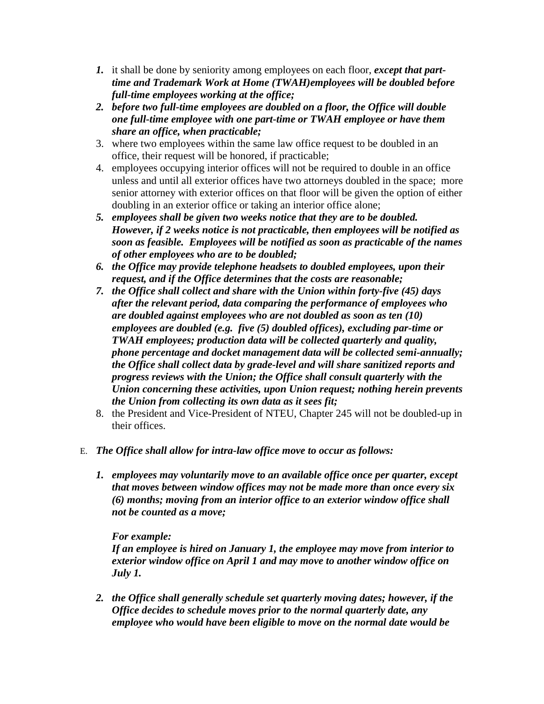- *1.* it shall be done by seniority among employees on each floor, *except that parttime and Trademark Work at Home (TWAH)employees will be doubled before full-time employees working at the office;*
- *2. before two full-time employees are doubled on a floor, the Office will double one full-time employee with one part-time or TWAH employee or have them share an office, when practicable;*
- 3. where two employees within the same law office request to be doubled in an office, their request will be honored, if practicable;
- 4. employees occupying interior offices will not be required to double in an office unless and until all exterior offices have two attorneys doubled in the space; more senior attorney with exterior offices on that floor will be given the option of either doubling in an exterior office or taking an interior office alone;
- *5. employees shall be given two weeks notice that they are to be doubled. However, if 2 weeks notice is not practicable, then employees will be notified as soon as feasible. Employees will be notified as soon as practicable of the names of other employees who are to be doubled;*
- *6. the Office may provide telephone headsets to doubled employees, upon their request, and if the Office determines that the costs are reasonable;*
- *7. the Office shall collect and share with the Union within forty-five (45) days after the relevant period, data comparing the performance of employees who are doubled against employees who are not doubled as soon as ten (10) employees are doubled (e.g. five (5) doubled offices), excluding par-time or TWAH employees; production data will be collected quarterly and quality, phone percentage and docket management data will be collected semi-annually; the Office shall collect data by grade-level and will share sanitized reports and progress reviews with the Union; the Office shall consult quarterly with the Union concerning these activities, upon Union request; nothing herein prevents the Union from collecting its own data as it sees fit;*
- 8. the President and Vice-President of NTEU, Chapter 245 will not be doubled-up in their offices.
- E. *The Office shall allow for intra-law office move to occur as follows:*
	- *1. employees may voluntarily move to an available office once per quarter, except that moves between window offices may not be made more than once every six (6) months; moving from an interior office to an exterior window office shall not be counted as a move;*

### *For example:*

*If an employee is hired on January 1, the employee may move from interior to exterior window office on April 1 and may move to another window office on July 1.*

*2. the Office shall generally schedule set quarterly moving dates; however, if the Office decides to schedule moves prior to the normal quarterly date, any employee who would have been eligible to move on the normal date would be*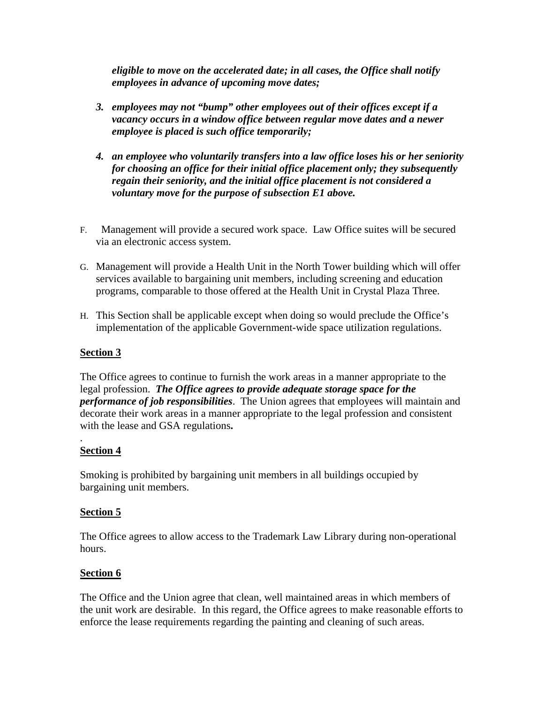*eligible to move on the accelerated date; in all cases, the Office shall notify employees in advance of upcoming move dates;*

- *3. employees may not "bump" other employees out of their offices except if a vacancy occurs in a window office between regular move dates and a newer employee is placed is such office temporarily;*
- *4. an employee who voluntarily transfers into a law office loses his or her seniority for choosing an office for their initial office placement only; they subsequently regain their seniority, and the initial office placement is not considered a voluntary move for the purpose of subsection E1 above.*
- F. Management will provide a secured work space. Law Office suites will be secured via an electronic access system.
- G. Management will provide a Health Unit in the North Tower building which will offer services available to bargaining unit members, including screening and education programs, comparable to those offered at the Health Unit in Crystal Plaza Three.
- H. This Section shall be applicable except when doing so would preclude the Office's implementation of the applicable Government-wide space utilization regulations.

### **Section 3**

The Office agrees to continue to furnish the work areas in a manner appropriate to the legal profession. *The Office agrees to provide adequate storage space for the performance of job responsibilities*. The Union agrees that employees will maintain and decorate their work areas in a manner appropriate to the legal profession and consistent with the lease and GSA regulations**.**

#### . **Section 4**

Smoking is prohibited by bargaining unit members in all buildings occupied by bargaining unit members.

### **Section 5**

The Office agrees to allow access to the Trademark Law Library during non-operational hours.

### **Section 6**

The Office and the Union agree that clean, well maintained areas in which members of the unit work are desirable. In this regard, the Office agrees to make reasonable efforts to enforce the lease requirements regarding the painting and cleaning of such areas.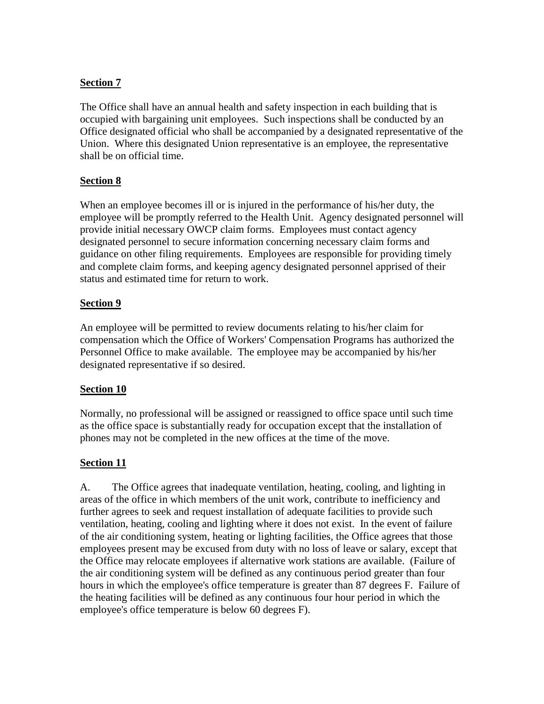## **Section 7**

The Office shall have an annual health and safety inspection in each building that is occupied with bargaining unit employees. Such inspections shall be conducted by an Office designated official who shall be accompanied by a designated representative of the Union. Where this designated Union representative is an employee, the representative shall be on official time.

## **Section 8**

When an employee becomes ill or is injured in the performance of his/her duty, the employee will be promptly referred to the Health Unit. Agency designated personnel will provide initial necessary OWCP claim forms. Employees must contact agency designated personnel to secure information concerning necessary claim forms and guidance on other filing requirements. Employees are responsible for providing timely and complete claim forms, and keeping agency designated personnel apprised of their status and estimated time for return to work.

## **Section 9**

An employee will be permitted to review documents relating to his/her claim for compensation which the Office of Workers' Compensation Programs has authorized the Personnel Office to make available. The employee may be accompanied by his/her designated representative if so desired.

### **Section 10**

Normally, no professional will be assigned or reassigned to office space until such time as the office space is substantially ready for occupation except that the installation of phones may not be completed in the new offices at the time of the move.

## **Section 11**

A. The Office agrees that inadequate ventilation, heating, cooling, and lighting in areas of the office in which members of the unit work, contribute to inefficiency and further agrees to seek and request installation of adequate facilities to provide such ventilation, heating, cooling and lighting where it does not exist. In the event of failure of the air conditioning system, heating or lighting facilities, the Office agrees that those employees present may be excused from duty with no loss of leave or salary, except that the Office may relocate employees if alternative work stations are available. (Failure of the air conditioning system will be defined as any continuous period greater than four hours in which the employee's office temperature is greater than 87 degrees F. Failure of the heating facilities will be defined as any continuous four hour period in which the employee's office temperature is below 60 degrees F).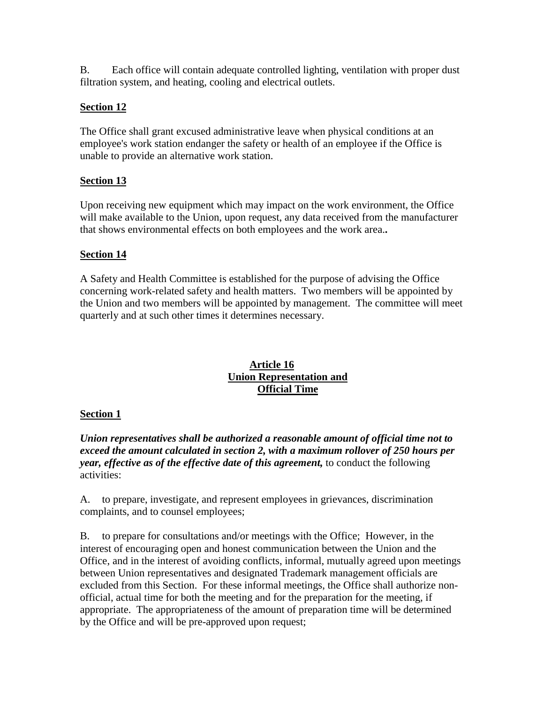B. Each office will contain adequate controlled lighting, ventilation with proper dust filtration system, and heating, cooling and electrical outlets.

## **Section 12**

The Office shall grant excused administrative leave when physical conditions at an employee's work station endanger the safety or health of an employee if the Office is unable to provide an alternative work station.

## **Section 13**

Upon receiving new equipment which may impact on the work environment, the Office will make available to the Union, upon request, any data received from the manufacturer that shows environmental effects on both employees and the work area.**.**

## **Section 14**

A Safety and Health Committee is established for the purpose of advising the Office concerning work-related safety and health matters. Two members will be appointed by the Union and two members will be appointed by management. The committee will meet quarterly and at such other times it determines necessary.

### **Article 16 Union Representation and Official Time**

## **Section 1**

*Union representatives shall be authorized a reasonable amount of official time not to exceed the amount calculated in section 2, with a maximum rollover of 250 hours per year, effective as of the effective date of this agreement,* to conduct the following activities:

A. to prepare, investigate, and represent employees in grievances, discrimination complaints, and to counsel employees;

B. to prepare for consultations and/or meetings with the Office; However, in the interest of encouraging open and honest communication between the Union and the Office, and in the interest of avoiding conflicts, informal, mutually agreed upon meetings between Union representatives and designated Trademark management officials are excluded from this Section. For these informal meetings, the Office shall authorize nonofficial, actual time for both the meeting and for the preparation for the meeting, if appropriate. The appropriateness of the amount of preparation time will be determined by the Office and will be pre-approved upon request;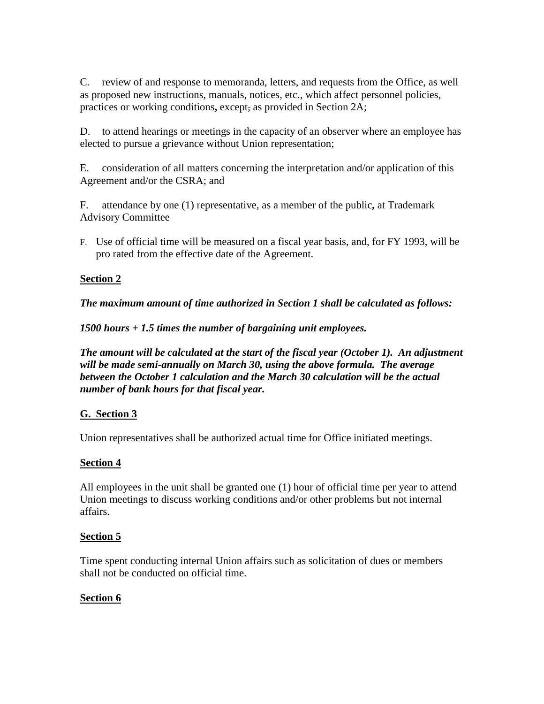C. review of and response to memoranda, letters, and requests from the Office, as well as proposed new instructions, manuals, notices, etc., which affect personnel policies, practices or working conditions**,** except, as provided in Section 2A;

D. to attend hearings or meetings in the capacity of an observer where an employee has elected to pursue a grievance without Union representation;

E. consideration of all matters concerning the interpretation and/or application of this Agreement and/or the CSRA; and

F. attendance by one (1) representative, as a member of the public**,** at Trademark Advisory Committee

F. Use of official time will be measured on a fiscal year basis, and, for FY 1993, will be pro rated from the effective date of the Agreement.

## **Section 2**

*The maximum amount of time authorized in Section 1 shall be calculated as follows:*

*1500 hours + 1.5 times the number of bargaining unit employees.*

*The amount will be calculated at the start of the fiscal year (October 1). An adjustment will be made semi-annually on March 30, using the above formula. The average between the October 1 calculation and the March 30 calculation will be the actual number of bank hours for that fiscal year.*

## **G. Section 3**

Union representatives shall be authorized actual time for Office initiated meetings.

## **Section 4**

All employees in the unit shall be granted one (1) hour of official time per year to attend Union meetings to discuss working conditions and/or other problems but not internal affairs.

## **Section 5**

Time spent conducting internal Union affairs such as solicitation of dues or members shall not be conducted on official time.

## **Section 6**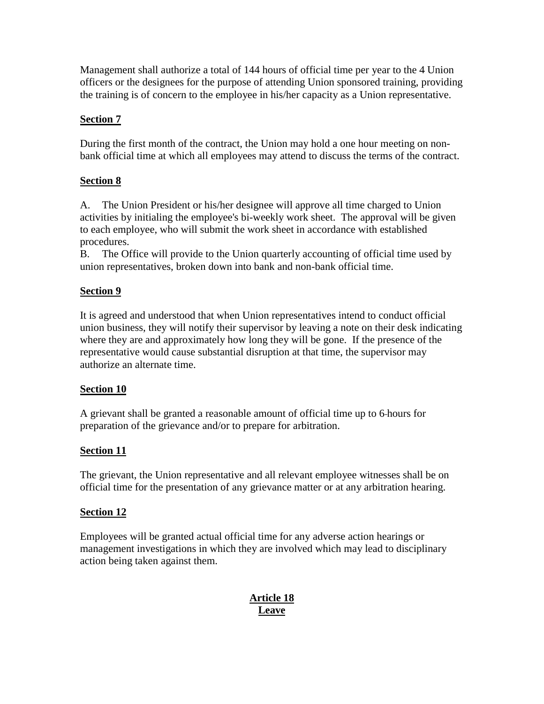Management shall authorize a total of 144 hours of official time per year to the 4 Union officers or the designees for the purpose of attending Union sponsored training, providing the training is of concern to the employee in his/her capacity as a Union representative.

## **Section 7**

During the first month of the contract, the Union may hold a one hour meeting on nonbank official time at which all employees may attend to discuss the terms of the contract.

## **Section 8**

A. The Union President or his/her designee will approve all time charged to Union activities by initialing the employee's bi-weekly work sheet. The approval will be given to each employee, who will submit the work sheet in accordance with established procedures.

B. The Office will provide to the Union quarterly accounting of official time used by union representatives, broken down into bank and non-bank official time.

## **Section 9**

It is agreed and understood that when Union representatives intend to conduct official union business, they will notify their supervisor by leaving a note on their desk indicating where they are and approximately how long they will be gone. If the presence of the representative would cause substantial disruption at that time, the supervisor may authorize an alternate time.

## **Section 10**

A grievant shall be granted a reasonable amount of official time up to 6 hours for preparation of the grievance and/or to prepare for arbitration.

## **Section 11**

The grievant, the Union representative and all relevant employee witnesses shall be on official time for the presentation of any grievance matter or at any arbitration hearing.

## **Section 12**

Employees will be granted actual official time for any adverse action hearings or management investigations in which they are involved which may lead to disciplinary action being taken against them.

## **Article 18 Leave**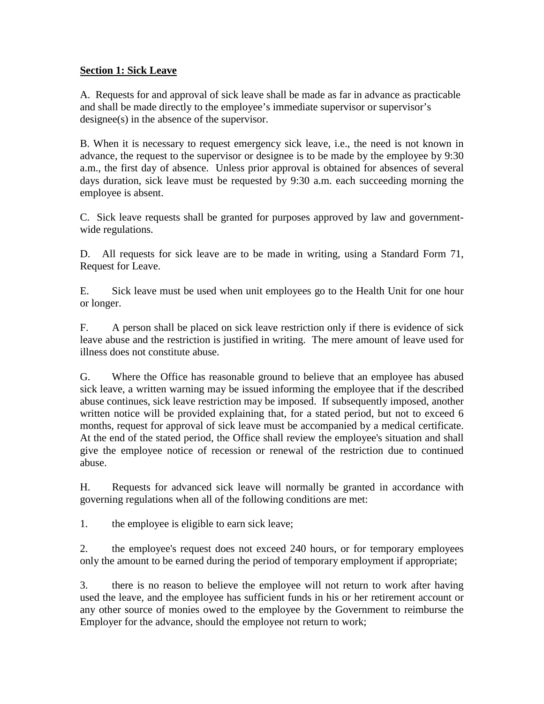#### **Section 1: Sick Leave**

A. Requests for and approval of sick leave shall be made as far in advance as practicable and shall be made directly to the employee's immediate supervisor or supervisor's designee(s) in the absence of the supervisor.

B. When it is necessary to request emergency sick leave, i.e., the need is not known in advance, the request to the supervisor or designee is to be made by the employee by 9:30 a.m., the first day of absence. Unless prior approval is obtained for absences of several days duration, sick leave must be requested by 9:30 a.m. each succeeding morning the employee is absent.

C. Sick leave requests shall be granted for purposes approved by law and governmentwide regulations.

D. All requests for sick leave are to be made in writing, using a Standard Form 71, Request for Leave.

E. Sick leave must be used when unit employees go to the Health Unit for one hour or longer.

F. A person shall be placed on sick leave restriction only if there is evidence of sick leave abuse and the restriction is justified in writing. The mere amount of leave used for illness does not constitute abuse.

G. Where the Office has reasonable ground to believe that an employee has abused sick leave, a written warning may be issued informing the employee that if the described abuse continues, sick leave restriction may be imposed. If subsequently imposed, another written notice will be provided explaining that, for a stated period, but not to exceed 6 months, request for approval of sick leave must be accompanied by a medical certificate. At the end of the stated period, the Office shall review the employee's situation and shall give the employee notice of recession or renewal of the restriction due to continued abuse.

H. Requests for advanced sick leave will normally be granted in accordance with governing regulations when all of the following conditions are met:

1. the employee is eligible to earn sick leave;

2. the employee's request does not exceed 240 hours, or for temporary employees only the amount to be earned during the period of temporary employment if appropriate;

3. there is no reason to believe the employee will not return to work after having used the leave, and the employee has sufficient funds in his or her retirement account or any other source of monies owed to the employee by the Government to reimburse the Employer for the advance, should the employee not return to work;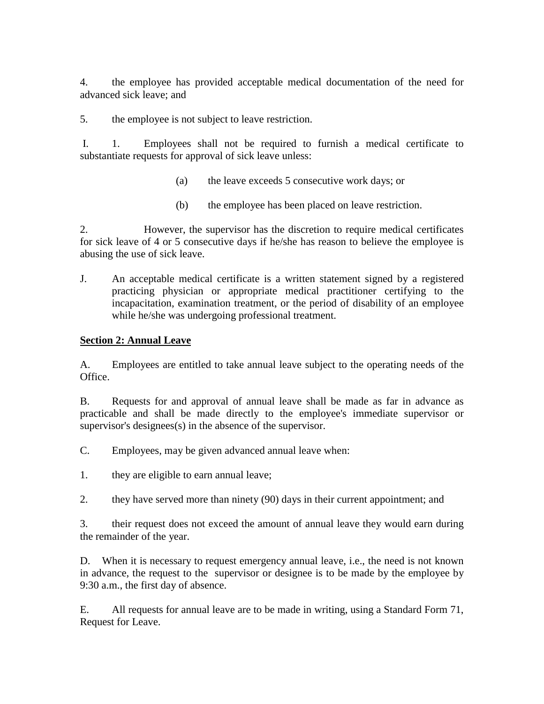4. the employee has provided acceptable medical documentation of the need for advanced sick leave; and

5. the employee is not subject to leave restriction.

 I. 1. Employees shall not be required to furnish a medical certificate to substantiate requests for approval of sick leave unless:

- (a) the leave exceeds 5 consecutive work days; or
- (b) the employee has been placed on leave restriction.

2. However, the supervisor has the discretion to require medical certificates for sick leave of 4 or 5 consecutive days if he/she has reason to believe the employee is abusing the use of sick leave.

J. An acceptable medical certificate is a written statement signed by a registered practicing physician or appropriate medical practitioner certifying to the incapacitation, examination treatment, or the period of disability of an employee while he/she was undergoing professional treatment.

## **Section 2: Annual Leave**

A. Employees are entitled to take annual leave subject to the operating needs of the Office.

B. Requests for and approval of annual leave shall be made as far in advance as practicable and shall be made directly to the employee's immediate supervisor or supervisor's designees(s) in the absence of the supervisor.

C. Employees, may be given advanced annual leave when:

- 1. they are eligible to earn annual leave;
- 2. they have served more than ninety (90) days in their current appointment; and

3. their request does not exceed the amount of annual leave they would earn during the remainder of the year.

D. When it is necessary to request emergency annual leave, i.e., the need is not known in advance, the request to the supervisor or designee is to be made by the employee by 9:30 a.m., the first day of absence.

E. All requests for annual leave are to be made in writing, using a Standard Form 71, Request for Leave.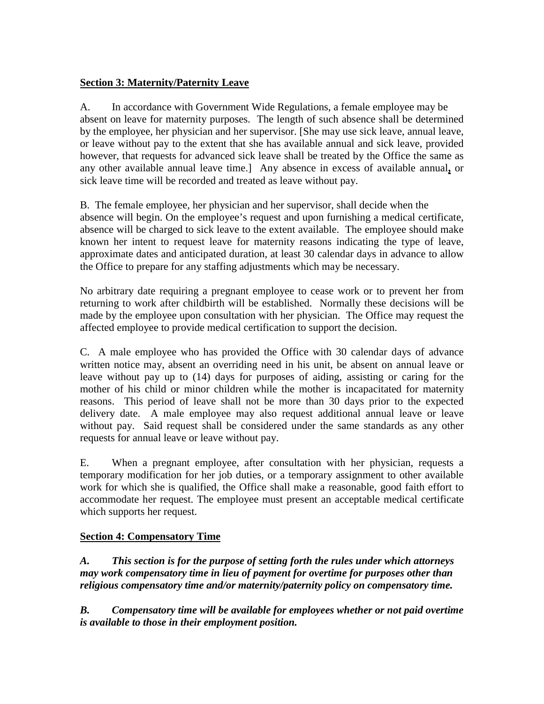### **Section 3: Maternity/Paternity Leave**

A. In accordance with Government Wide Regulations, a female employee may be absent on leave for maternity purposes. The length of such absence shall be determined by the employee, her physician and her supervisor. [She may use sick leave, annual leave, or leave without pay to the extent that she has available annual and sick leave, provided however, that requests for advanced sick leave shall be treated by the Office the same as any other available annual leave time.] Any absence in excess of available annual**,** or sick leave time will be recorded and treated as leave without pay.

B. The female employee, her physician and her supervisor, shall decide when the absence will begin. On the employee's request and upon furnishing a medical certificate, absence will be charged to sick leave to the extent available. The employee should make known her intent to request leave for maternity reasons indicating the type of leave, approximate dates and anticipated duration, at least 30 calendar days in advance to allow the Office to prepare for any staffing adjustments which may be necessary.

No arbitrary date requiring a pregnant employee to cease work or to prevent her from returning to work after childbirth will be established. Normally these decisions will be made by the employee upon consultation with her physician. The Office may request the affected employee to provide medical certification to support the decision.

C. A male employee who has provided the Office with 30 calendar days of advance written notice may, absent an overriding need in his unit, be absent on annual leave or leave without pay up to (14) days for purposes of aiding, assisting or caring for the mother of his child or minor children while the mother is incapacitated for maternity reasons. This period of leave shall not be more than 30 days prior to the expected delivery date. A male employee may also request additional annual leave or leave without pay. Said request shall be considered under the same standards as any other requests for annual leave or leave without pay.

E. When a pregnant employee, after consultation with her physician, requests a temporary modification for her job duties, or a temporary assignment to other available work for which she is qualified, the Office shall make a reasonable, good faith effort to accommodate her request. The employee must present an acceptable medical certificate which supports her request.

### **Section 4: Compensatory Time**

*A. This section is for the purpose of setting forth the rules under which attorneys may work compensatory time in lieu of payment for overtime for purposes other than religious compensatory time and/or maternity/paternity policy on compensatory time.*

*B. Compensatory time will be available for employees whether or not paid overtime is available to those in their employment position.*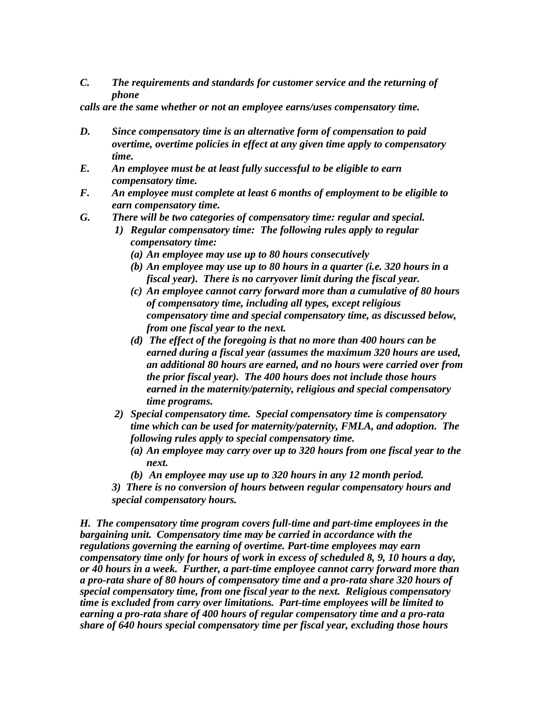*C. The requirements and standards for customer service and the returning of phone*

*calls are the same whether or not an employee earns/uses compensatory time.*

- *D. Since compensatory time is an alternative form of compensation to paid overtime, overtime policies in effect at any given time apply to compensatory time.*
- *E. An employee must be at least fully successful to be eligible to earn compensatory time.*
- *F. An employee must complete at least 6 months of employment to be eligible to earn compensatory time.*
- *G. There will be two categories of compensatory time: regular and special.*
	- *1) Regular compensatory time: The following rules apply to regular compensatory time:*
		- *(a) An employee may use up to 80 hours consecutively*
		- *(b) An employee may use up to 80 hours in a quarter (i.e. 320 hours in a fiscal year). There is no carryover limit during the fiscal year.*
		- *(c) An employee cannot carry forward more than a cumulative of 80 hours of compensatory time, including all types, except religious compensatory time and special compensatory time, as discussed below, from one fiscal year to the next.*
		- *(d) The effect of the foregoing is that no more than 400 hours can be earned during a fiscal year (assumes the maximum 320 hours are used, an additional 80 hours are earned, and no hours were carried over from the prior fiscal year). The 400 hours does not include those hours earned in the maternity/paternity, religious and special compensatory time programs.*
	- *2) Special compensatory time. Special compensatory time is compensatory time which can be used for maternity/paternity, FMLA, and adoption. The following rules apply to special compensatory time.*
		- *(a) An employee may carry over up to 320 hours from one fiscal year to the next.*
		- *(b) An employee may use up to 320 hours in any 12 month period.*
	- *3) There is no conversion of hours between regular compensatory hours and special compensatory hours.*

*H. The compensatory time program covers full-time and part-time employees in the bargaining unit. Compensatory time may be carried in accordance with the regulations governing the earning of overtime. Part-time employees may earn compensatory time only for hours of work in excess of scheduled 8, 9, 10 hours a day, or 40 hours in a week. Further, a part-time employee cannot carry forward more than a pro-rata share of 80 hours of compensatory time and a pro-rata share 320 hours of special compensatory time, from one fiscal year to the next. Religious compensatory time is excluded from carry over limitations. Part-time employees will be limited to earning a pro-rata share of 400 hours of regular compensatory time and a pro-rata share of 640 hours special compensatory time per fiscal year, excluding those hours*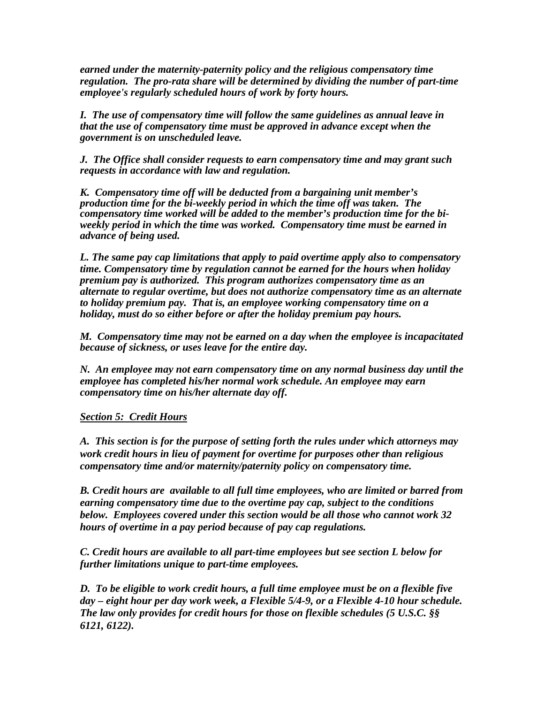*earned under the maternity-paternity policy and the religious compensatory time regulation. The pro-rata share will be determined by dividing the number of part-time employee's regularly scheduled hours of work by forty hours.*

*I. The use of compensatory time will follow the same guidelines as annual leave in that the use of compensatory time must be approved in advance except when the government is on unscheduled leave.*

*J. The Office shall consider requests to earn compensatory time and may grant such requests in accordance with law and regulation.*

*K. Compensatory time off will be deducted from a bargaining unit member's production time for the bi-weekly period in which the time off was taken. The compensatory time worked will be added to the member's production time for the biweekly period in which the time was worked. Compensatory time must be earned in advance of being used.*

*L. The same pay cap limitations that apply to paid overtime apply also to compensatory time. Compensatory time by regulation cannot be earned for the hours when holiday premium pay is authorized. This program authorizes compensatory time as an alternate to regular overtime, but does not authorize compensatory time as an alternate to holiday premium pay. That is, an employee working compensatory time on a holiday, must do so either before or after the holiday premium pay hours.*

*M. Compensatory time may not be earned on a day when the employee is incapacitated because of sickness, or uses leave for the entire day.*

*N. An employee may not earn compensatory time on any normal business day until the employee has completed his/her normal work schedule. An employee may earn compensatory time on his/her alternate day off.*

#### *Section 5: Credit Hours*

*A. This section is for the purpose of setting forth the rules under which attorneys may work credit hours in lieu of payment for overtime for purposes other than religious compensatory time and/or maternity/paternity policy on compensatory time.*

*B. Credit hours are available to all full time employees, who are limited or barred from earning compensatory time due to the overtime pay cap, subject to the conditions below. Employees covered under this section would be all those who cannot work 32 hours of overtime in a pay period because of pay cap regulations.*

*C. Credit hours are available to all part-time employees but see section L below for further limitations unique to part-time employees.*

*D. To be eligible to work credit hours, a full time employee must be on a flexible five day – eight hour per day work week, a Flexible 5/4-9, or a Flexible 4-10 hour schedule. The law only provides for credit hours for those on flexible schedules (5 U.S.C. §§ 6121, 6122).*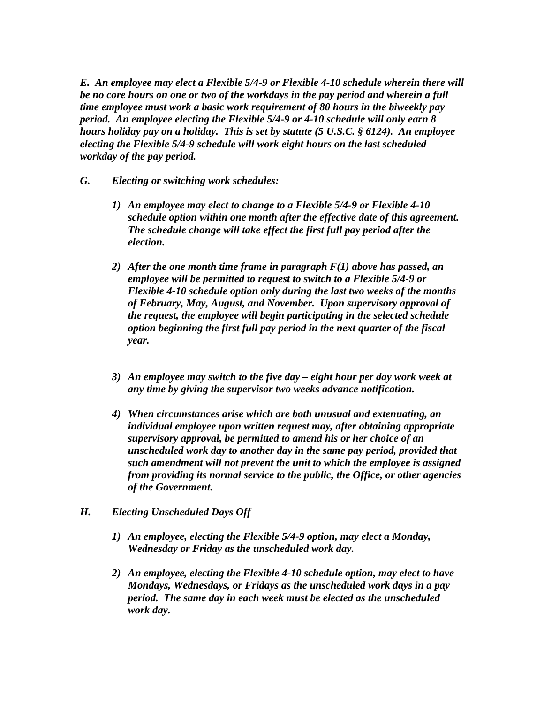*E. An employee may elect a Flexible 5/4-9 or Flexible 4-10 schedule wherein there will be no core hours on one or two of the workdays in the pay period and wherein a full time employee must work a basic work requirement of 80 hours in the biweekly pay period. An employee electing the Flexible 5/4-9 or 4-10 schedule will only earn 8 hours holiday pay on a holiday. This is set by statute (5 U.S.C. § 6124). An employee electing the Flexible 5/4-9 schedule will work eight hours on the last scheduled workday of the pay period.*

- *G. Electing or switching work schedules:*
	- *1) An employee may elect to change to a Flexible 5/4-9 or Flexible 4-10 schedule option within one month after the effective date of this agreement. The schedule change will take effect the first full pay period after the election.*
	- *2) After the one month time frame in paragraph F(1) above has passed, an employee will be permitted to request to switch to a Flexible 5/4-9 or Flexible 4-10 schedule option only during the last two weeks of the months of February, May, August, and November. Upon supervisory approval of the request, the employee will begin participating in the selected schedule option beginning the first full pay period in the next quarter of the fiscal year.*
	- *3) An employee may switch to the five day eight hour per day work week at any time by giving the supervisor two weeks advance notification.*
	- *4) When circumstances arise which are both unusual and extenuating, an individual employee upon written request may, after obtaining appropriate supervisory approval, be permitted to amend his or her choice of an unscheduled work day to another day in the same pay period, provided that such amendment will not prevent the unit to which the employee is assigned from providing its normal service to the public, the Office, or other agencies of the Government.*
- *H. Electing Unscheduled Days Off*
	- *1) An employee, electing the Flexible 5/4-9 option, may elect a Monday, Wednesday or Friday as the unscheduled work day.*
	- *2) An employee, electing the Flexible 4-10 schedule option, may elect to have Mondays, Wednesdays, or Fridays as the unscheduled work days in a pay period. The same day in each week must be elected as the unscheduled work day.*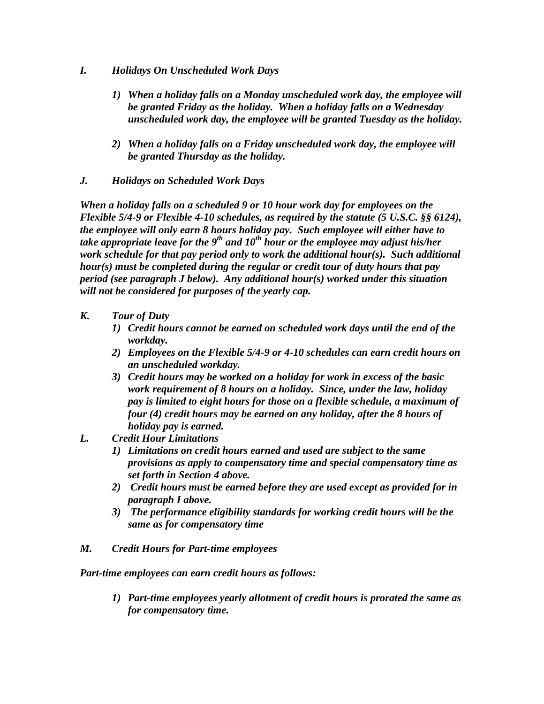- *I. Holidays On Unscheduled Work Days*
	- *1) When a holiday falls on a Monday unscheduled work day, the employee will be granted Friday as the holiday. When a holiday falls on a Wednesday unscheduled work day, the employee will be granted Tuesday as the holiday.*
	- *2) When a holiday falls on a Friday unscheduled work day, the employee will be granted Thursday as the holiday.*
- *J. Holidays on Scheduled Work Days*

*When a holiday falls on a scheduled 9 or 10 hour work day for employees on the Flexible 5/4-9 or Flexible 4-10 schedules, as required by the statute (5 U.S.C. §§ 6124), the employee will only earn 8 hours holiday pay. Such employee will either have to take appropriate leave for the 9th and 10th hour or the employee may adjust his/her work schedule for that pay period only to work the additional hour(s). Such additional hour(s) must be completed during the regular or credit tour of duty hours that pay period (see paragraph J below). Any additional hour(s) worked under this situation will not be considered for purposes of the yearly cap.*

- *K. Tour of Duty*
	- *1) Credit hours cannot be earned on scheduled work days until the end of the workday.*
	- *2) Employees on the Flexible 5/4-9 or 4-10 schedules can earn credit hours on an unscheduled workday.*
	- *3) Credit hours may be worked on a holiday for work in excess of the basic work requirement of 8 hours on a holiday. Since, under the law, holiday pay is limited to eight hours for those on a flexible schedule, a maximum of four (4) credit hours may be earned on any holiday, after the 8 hours of holiday pay is earned.*
- *L. Credit Hour Limitations*
	- *1) Limitations on credit hours earned and used are subject to the same provisions as apply to compensatory time and special compensatory time as set forth in Section 4 above.*
	- *2) Credit hours must be earned before they are used except as provided for in paragraph I above.*
	- *3) The performance eligibility standards for working credit hours will be the same as for compensatory time*
- *M. Credit Hours for Part-time employees*

*Part-time employees can earn credit hours as follows:*

*1) Part-time employees yearly allotment of credit hours is prorated the same as for compensatory time.*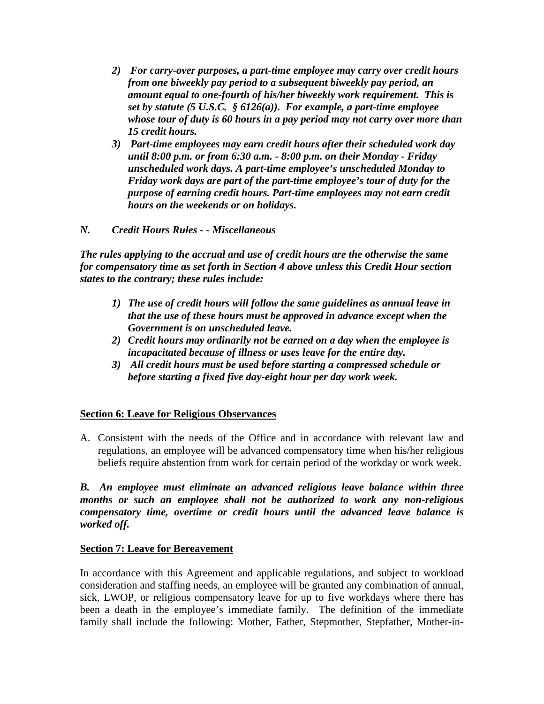- *2) For carry-over purposes, a part-time employee may carry over credit hours from one biweekly pay period to a subsequent biweekly pay period, an amount equal to one-fourth of his/her biweekly work requirement. This is set by statute (5 U.S.C. § 6126(a)). For example, a part-time employee whose tour of duty is 60 hours in a pay period may not carry over more than 15 credit hours.*
- *3) Part-time employees may earn credit hours after their scheduled work day until 8:00 p.m. or from 6:30 a.m. - 8:00 p.m. on their Monday - Friday unscheduled work days. A part-time employee's unscheduled Monday to Friday work days are part of the part-time employee's tour of duty for the purpose of earning credit hours. Part-time employees may not earn credit hours on the weekends or on holidays.*
- *N. Credit Hours Rules - Miscellaneous*

*The rules applying to the accrual and use of credit hours are the otherwise the same for compensatory time as set forth in Section 4 above unless this Credit Hour section states to the contrary; these rules include:*

- *1) The use of credit hours will follow the same guidelines as annual leave in that the use of these hours must be approved in advance except when the Government is on unscheduled leave.*
- *2) Credit hours may ordinarily not be earned on a day when the employee is incapacitated because of illness or uses leave for the entire day.*
- *3) All credit hours must be used before starting a compressed schedule or before starting a fixed five day-eight hour per day work week.*

### **Section 6: Leave for Religious Observances**

A. Consistent with the needs of the Office and in accordance with relevant law and regulations, an employee will be advanced compensatory time when his/her religious beliefs require abstention from work for certain period of the workday or work week.

#### *B. An employee must eliminate an advanced religious leave balance within three months or such an employee shall not be authorized to work any non-religious compensatory time, overtime or credit hours until the advanced leave balance is worked off.*

#### **Section 7: Leave for Bereavement**

In accordance with this Agreement and applicable regulations, and subject to workload consideration and staffing needs, an employee will be granted any combination of annual, sick, LWOP, or religious compensatory leave for up to five workdays where there has been a death in the employee's immediate family. The definition of the immediate family shall include the following: Mother, Father, Stepmother, Stepfather, Mother-in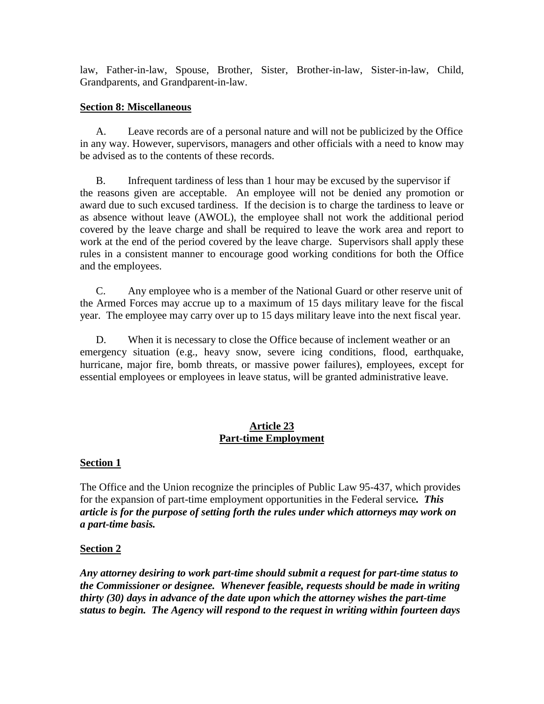law, Father-in-law, Spouse, Brother, Sister, Brother-in-law, Sister-in-law, Child, Grandparents, and Grandparent-in-law.

#### **Section 8: Miscellaneous**

A. Leave records are of a personal nature and will not be publicized by the Office in any way. However, supervisors, managers and other officials with a need to know may be advised as to the contents of these records.

B. Infrequent tardiness of less than 1 hour may be excused by the supervisor if the reasons given are acceptable. An employee will not be denied any promotion or award due to such excused tardiness. If the decision is to charge the tardiness to leave or as absence without leave (AWOL), the employee shall not work the additional period covered by the leave charge and shall be required to leave the work area and report to work at the end of the period covered by the leave charge. Supervisors shall apply these rules in a consistent manner to encourage good working conditions for both the Office and the employees.

C. Any employee who is a member of the National Guard or other reserve unit of the Armed Forces may accrue up to a maximum of 15 days military leave for the fiscal year. The employee may carry over up to 15 days military leave into the next fiscal year.

D. When it is necessary to close the Office because of inclement weather or an emergency situation (e.g., heavy snow, severe icing conditions, flood, earthquake, hurricane, major fire, bomb threats, or massive power failures), employees, except for essential employees or employees in leave status, will be granted administrative leave.

### **Article 23 Part-time Employment**

### **Section 1**

The Office and the Union recognize the principles of Public Law 95-437, which provides for the expansion of part-time employment opportunities in the Federal service*. This article is for the purpose of setting forth the rules under which attorneys may work on a part-time basis.*

### **Section 2**

*Any attorney desiring to work part-time should submit a request for part-time status to the Commissioner or designee. Whenever feasible, requests should be made in writing thirty (30) days in advance of the date upon which the attorney wishes the part-time status to begin. The Agency will respond to the request in writing within fourteen days*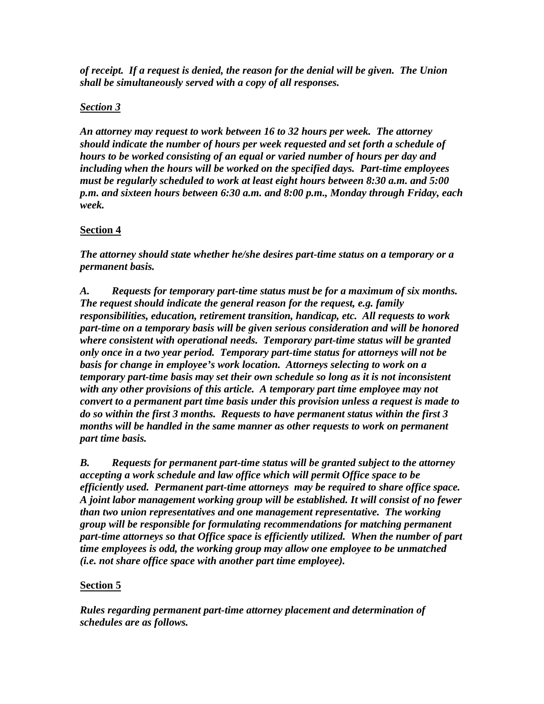*of receipt. If a request is denied, the reason for the denial will be given. The Union shall be simultaneously served with a copy of all responses.*

## *Section 3*

*An attorney may request to work between 16 to 32 hours per week. The attorney should indicate the number of hours per week requested and set forth a schedule of hours to be worked consisting of an equal or varied number of hours per day and including when the hours will be worked on the specified days. Part-time employees must be regularly scheduled to work at least eight hours between 8:30 a.m. and 5:00 p.m. and sixteen hours between 6:30 a.m. and 8:00 p.m., Monday through Friday, each week.*

## **Section 4**

*The attorney should state whether he/she desires part-time status on a temporary or a permanent basis.*

*A. Requests for temporary part-time status must be for a maximum of six months. The request should indicate the general reason for the request, e.g. family responsibilities, education, retirement transition, handicap, etc. All requests to work part-time on a temporary basis will be given serious consideration and will be honored where consistent with operational needs. Temporary part-time status will be granted only once in a two year period. Temporary part-time status for attorneys will not be basis for change in employee's work location. Attorneys selecting to work on a temporary part-time basis may set their own schedule so long as it is not inconsistent with any other provisions of this article. A temporary part time employee may not convert to a permanent part time basis under this provision unless a request is made to do so within the first 3 months. Requests to have permanent status within the first 3 months will be handled in the same manner as other requests to work on permanent part time basis.*

*B. Requests for permanent part-time status will be granted subject to the attorney accepting a work schedule and law office which will permit Office space to be efficiently used. Permanent part-time attorneys may be required to share office space. A joint labor management working group will be established. It will consist of no fewer than two union representatives and one management representative. The working group will be responsible for formulating recommendations for matching permanent part-time attorneys so that Office space is efficiently utilized. When the number of part time employees is odd, the working group may allow one employee to be unmatched (i.e. not share office space with another part time employee).*

## **Section 5**

*Rules regarding permanent part-time attorney placement and determination of schedules are as follows.*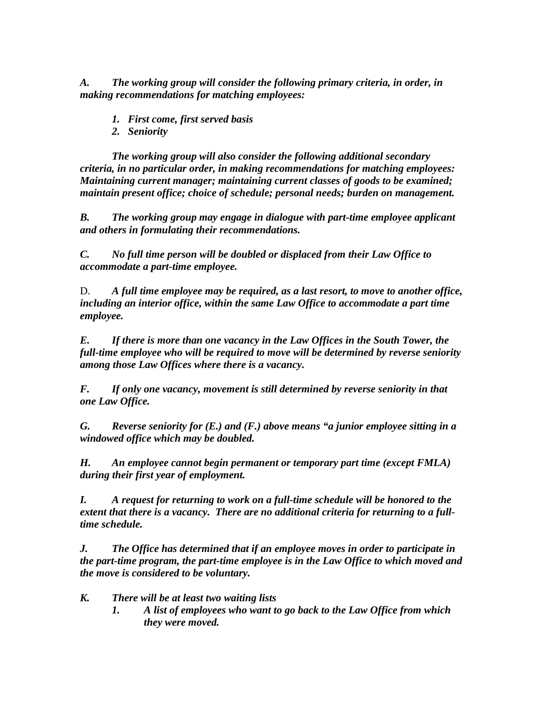*A. The working group will consider the following primary criteria, in order, in making recommendations for matching employees:*

- *1. First come, first served basis*
- *2. Seniority*

*The working group will also consider the following additional secondary criteria, in no particular order, in making recommendations for matching employees: Maintaining current manager; maintaining current classes of goods to be examined; maintain present office; choice of schedule; personal needs; burden on management.*

*B. The working group may engage in dialogue with part-time employee applicant and others in formulating their recommendations.*

*C. No full time person will be doubled or displaced from their Law Office to accommodate a part-time employee.*

D. *A full time employee may be required, as a last resort, to move to another office, including an interior office, within the same Law Office to accommodate a part time employee.*

*E. If there is more than one vacancy in the Law Offices in the South Tower, the full-time employee who will be required to move will be determined by reverse seniority among those Law Offices where there is a vacancy.*

*F. If only one vacancy, movement is still determined by reverse seniority in that one Law Office.*

*G. Reverse seniority for (E.) and (F.) above means "a junior employee sitting in a windowed office which may be doubled.*

*H. An employee cannot begin permanent or temporary part time (except FMLA) during their first year of employment.*

*I. A request for returning to work on a full-time schedule will be honored to the extent that there is a vacancy. There are no additional criteria for returning to a fulltime schedule.*

*J. The Office has determined that if an employee moves in order to participate in the part-time program, the part-time employee is in the Law Office to which moved and the move is considered to be voluntary.*

- *K. There will be at least two waiting lists*
	- *1. A list of employees who want to go back to the Law Office from which they were moved.*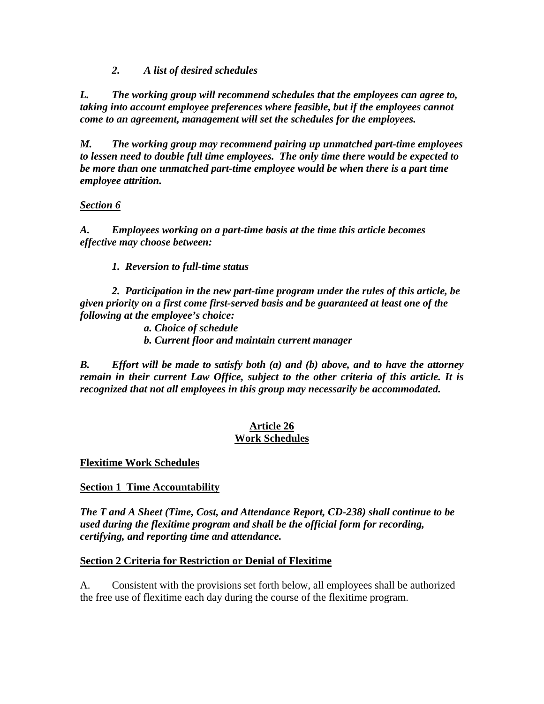*2. A list of desired schedules*

*L. The working group will recommend schedules that the employees can agree to, taking into account employee preferences where feasible, but if the employees cannot come to an agreement, management will set the schedules for the employees.*

*M. The working group may recommend pairing up unmatched part-time employees to lessen need to double full time employees. The only time there would be expected to be more than one unmatched part-time employee would be when there is a part time employee attrition.*

## *Section 6*

*A. Employees working on a part-time basis at the time this article becomes effective may choose between:*

*1. Reversion to full-time status*

*2. Participation in the new part-time program under the rules of this article, be given priority on a first come first-served basis and be guaranteed at least one of the following at the employee's choice:*

*a. Choice of schedule b. Current floor and maintain current manager*

*B. Effort will be made to satisfy both (a) and (b) above, and to have the attorney remain in their current Law Office, subject to the other criteria of this article. It is recognized that not all employees in this group may necessarily be accommodated.*

## **Article 26 Work Schedules**

**Flexitime Work Schedules**

**Section 1 Time Accountability**

*The T and A Sheet (Time, Cost, and Attendance Report, CD-238) shall continue to be used during the flexitime program and shall be the official form for recording, certifying, and reporting time and attendance.*

### **Section 2 Criteria for Restriction or Denial of Flexitime**

A. Consistent with the provisions set forth below, all employees shall be authorized the free use of flexitime each day during the course of the flexitime program.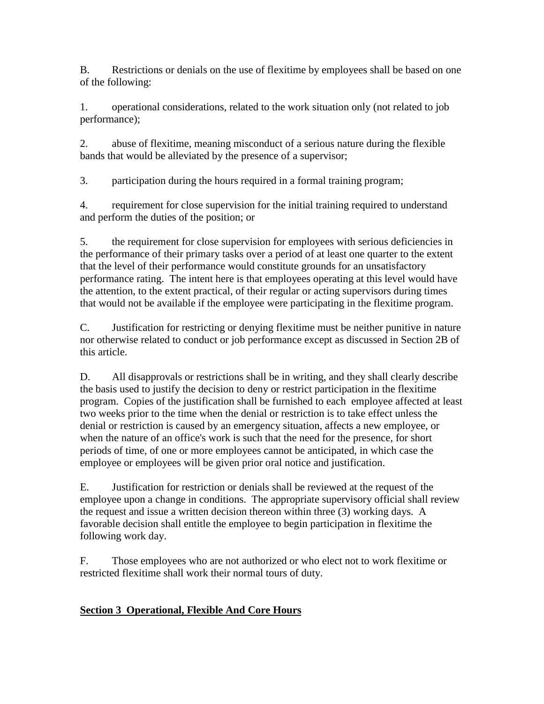B. Restrictions or denials on the use of flexitime by employees shall be based on one of the following:

1. operational considerations, related to the work situation only (not related to job performance);

2. abuse of flexitime, meaning misconduct of a serious nature during the flexible bands that would be alleviated by the presence of a supervisor;

3. participation during the hours required in a formal training program;

4. requirement for close supervision for the initial training required to understand and perform the duties of the position; or

5. the requirement for close supervision for employees with serious deficiencies in the performance of their primary tasks over a period of at least one quarter to the extent that the level of their performance would constitute grounds for an unsatisfactory performance rating. The intent here is that employees operating at this level would have the attention, to the extent practical, of their regular or acting supervisors during times that would not be available if the employee were participating in the flexitime program.

C. Justification for restricting or denying flexitime must be neither punitive in nature nor otherwise related to conduct or job performance except as discussed in Section 2B of this article.

D. All disapprovals or restrictions shall be in writing, and they shall clearly describe the basis used to justify the decision to deny or restrict participation in the flexitime program. Copies of the justification shall be furnished to each employee affected at least two weeks prior to the time when the denial or restriction is to take effect unless the denial or restriction is caused by an emergency situation, affects a new employee, or when the nature of an office's work is such that the need for the presence, for short periods of time, of one or more employees cannot be anticipated, in which case the employee or employees will be given prior oral notice and justification.

E. Justification for restriction or denials shall be reviewed at the request of the employee upon a change in conditions. The appropriate supervisory official shall review the request and issue a written decision thereon within three (3) working days. A favorable decision shall entitle the employee to begin participation in flexitime the following work day.

F. Those employees who are not authorized or who elect not to work flexitime or restricted flexitime shall work their normal tours of duty.

# **Section 3 Operational, Flexible And Core Hours**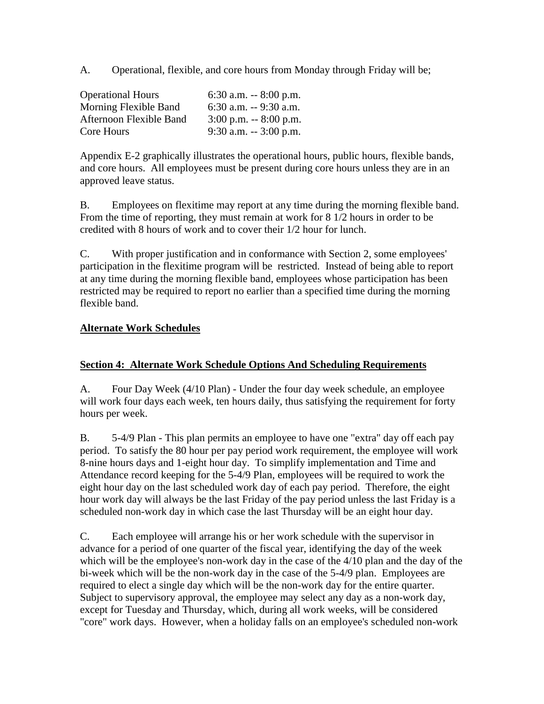A. Operational, flexible, and core hours from Monday through Friday will be;

| <b>Operational Hours</b>       | 6:30 a.m. $-8:00$ p.m.   |
|--------------------------------|--------------------------|
| Morning Flexible Band          | $6:30$ a.m. $-9:30$ a.m. |
| <b>Afternoon Flexible Band</b> | $3:00$ p.m. $-8:00$ p.m. |
| Core Hours                     | $9:30$ a.m. $-3:00$ p.m. |

Appendix E-2 graphically illustrates the operational hours, public hours, flexible bands, and core hours. All employees must be present during core hours unless they are in an approved leave status.

B. Employees on flexitime may report at any time during the morning flexible band. From the time of reporting, they must remain at work for 8 1/2 hours in order to be credited with 8 hours of work and to cover their 1/2 hour for lunch.

C. With proper justification and in conformance with Section 2, some employees' participation in the flexitime program will be restricted. Instead of being able to report at any time during the morning flexible band, employees whose participation has been restricted may be required to report no earlier than a specified time during the morning flexible band.

### **Alternate Work Schedules**

### **Section 4: Alternate Work Schedule Options And Scheduling Requirements**

A. Four Day Week (4/10 Plan) - Under the four day week schedule, an employee will work four days each week, ten hours daily, thus satisfying the requirement for forty hours per week.

B. 5-4/9 Plan - This plan permits an employee to have one "extra" day off each pay period. To satisfy the 80 hour per pay period work requirement, the employee will work 8-nine hours days and 1-eight hour day. To simplify implementation and Time and Attendance record keeping for the 5-4/9 Plan, employees will be required to work the eight hour day on the last scheduled work day of each pay period. Therefore, the eight hour work day will always be the last Friday of the pay period unless the last Friday is a scheduled non-work day in which case the last Thursday will be an eight hour day.

C. Each employee will arrange his or her work schedule with the supervisor in advance for a period of one quarter of the fiscal year, identifying the day of the week which will be the employee's non-work day in the case of the 4/10 plan and the day of the bi-week which will be the non-work day in the case of the 5-4/9 plan. Employees are required to elect a single day which will be the non-work day for the entire quarter. Subject to supervisory approval, the employee may select any day as a non-work day, except for Tuesday and Thursday, which, during all work weeks, will be considered "core" work days. However, when a holiday falls on an employee's scheduled non-work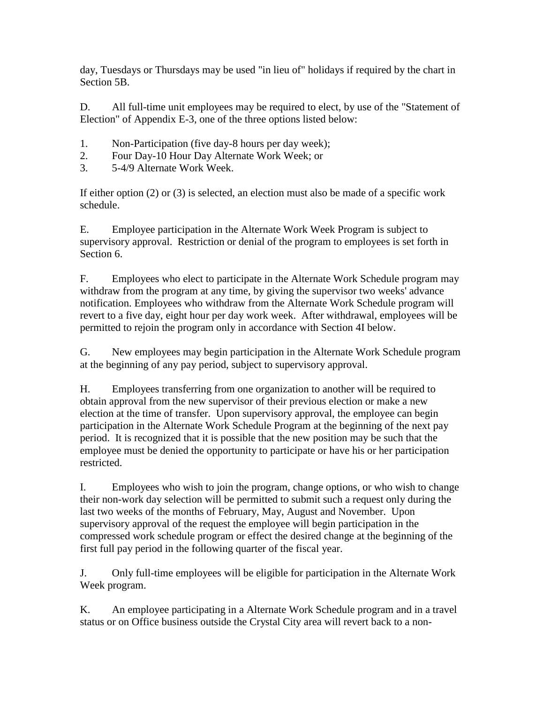day, Tuesdays or Thursdays may be used "in lieu of" holidays if required by the chart in Section 5B.

D. All full-time unit employees may be required to elect, by use of the "Statement of Election" of Appendix E-3, one of the three options listed below:

- 1. Non-Participation (five day-8 hours per day week);
- 2. Four Day-10 Hour Day Alternate Work Week; or
- 3. 5-4/9 Alternate Work Week.

If either option (2) or (3) is selected, an election must also be made of a specific work schedule.

E. Employee participation in the Alternate Work Week Program is subject to supervisory approval. Restriction or denial of the program to employees is set forth in Section 6.

F. Employees who elect to participate in the Alternate Work Schedule program may withdraw from the program at any time, by giving the supervisor two weeks' advance notification. Employees who withdraw from the Alternate Work Schedule program will revert to a five day, eight hour per day work week. After withdrawal, employees will be permitted to rejoin the program only in accordance with Section 4I below.

G. New employees may begin participation in the Alternate Work Schedule program at the beginning of any pay period, subject to supervisory approval.

H. Employees transferring from one organization to another will be required to obtain approval from the new supervisor of their previous election or make a new election at the time of transfer. Upon supervisory approval, the employee can begin participation in the Alternate Work Schedule Program at the beginning of the next pay period. It is recognized that it is possible that the new position may be such that the employee must be denied the opportunity to participate or have his or her participation restricted.

I. Employees who wish to join the program, change options, or who wish to change their non-work day selection will be permitted to submit such a request only during the last two weeks of the months of February, May, August and November. Upon supervisory approval of the request the employee will begin participation in the compressed work schedule program or effect the desired change at the beginning of the first full pay period in the following quarter of the fiscal year.

J. Only full-time employees will be eligible for participation in the Alternate Work Week program.

K. An employee participating in a Alternate Work Schedule program and in a travel status or on Office business outside the Crystal City area will revert back to a non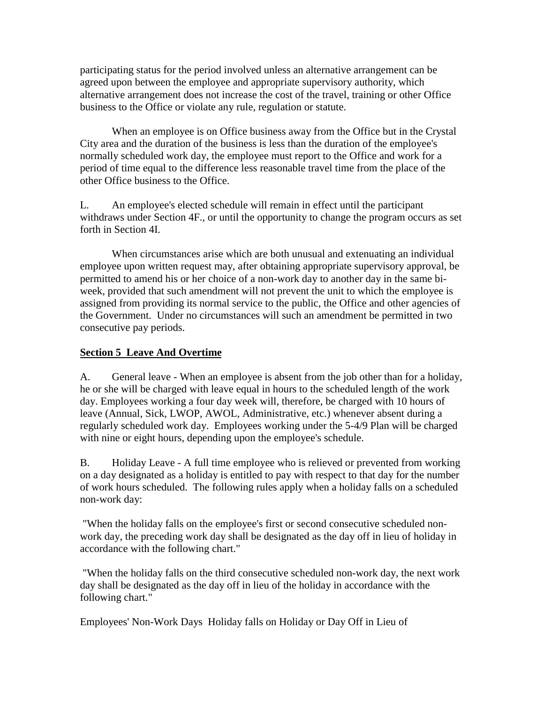participating status for the period involved unless an alternative arrangement can be agreed upon between the employee and appropriate supervisory authority, which alternative arrangement does not increase the cost of the travel, training or other Office business to the Office or violate any rule, regulation or statute.

When an employee is on Office business away from the Office but in the Crystal City area and the duration of the business is less than the duration of the employee's normally scheduled work day, the employee must report to the Office and work for a period of time equal to the difference less reasonable travel time from the place of the other Office business to the Office.

L. An employee's elected schedule will remain in effect until the participant withdraws under Section 4F., or until the opportunity to change the program occurs as set forth in Section 4I.

When circumstances arise which are both unusual and extenuating an individual employee upon written request may, after obtaining appropriate supervisory approval, be permitted to amend his or her choice of a non-work day to another day in the same biweek, provided that such amendment will not prevent the unit to which the employee is assigned from providing its normal service to the public, the Office and other agencies of the Government. Under no circumstances will such an amendment be permitted in two consecutive pay periods.

### **Section 5 Leave And Overtime**

A. General leave - When an employee is absent from the job other than for a holiday, he or she will be charged with leave equal in hours to the scheduled length of the work day. Employees working a four day week will, therefore, be charged with 10 hours of leave (Annual, Sick, LWOP, AWOL, Administrative, etc.) whenever absent during a regularly scheduled work day. Employees working under the 5-4/9 Plan will be charged with nine or eight hours, depending upon the employee's schedule.

B. Holiday Leave - A full time employee who is relieved or prevented from working on a day designated as a holiday is entitled to pay with respect to that day for the number of work hours scheduled. The following rules apply when a holiday falls on a scheduled non-work day:

 "When the holiday falls on the employee's first or second consecutive scheduled nonwork day, the preceding work day shall be designated as the day off in lieu of holiday in accordance with the following chart."

 "When the holiday falls on the third consecutive scheduled non-work day, the next work day shall be designated as the day off in lieu of the holiday in accordance with the following chart."

Employees' Non-Work Days Holiday falls on Holiday or Day Off in Lieu of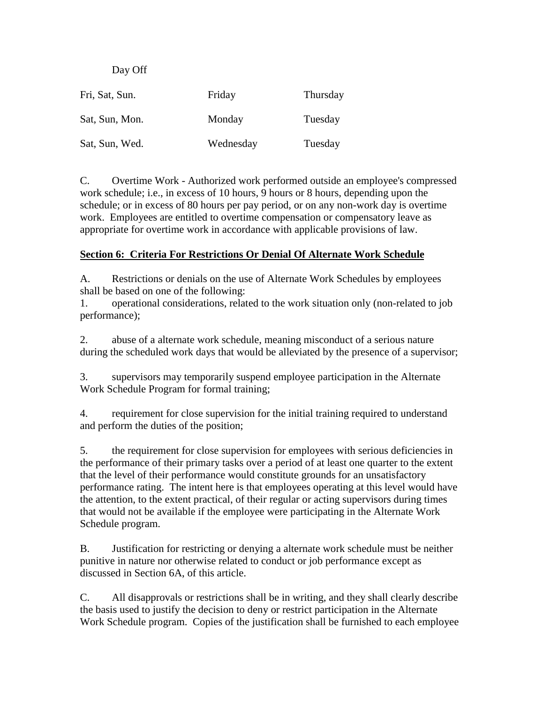Day Off

| Fri, Sat, Sun. | Friday    | Thursday |
|----------------|-----------|----------|
| Sat, Sun, Mon. | Monday    | Tuesday  |
| Sat, Sun, Wed. | Wednesday | Tuesday  |

C. Overtime Work - Authorized work performed outside an employee's compressed work schedule; i.e., in excess of 10 hours, 9 hours or 8 hours, depending upon the schedule; or in excess of 80 hours per pay period, or on any non-work day is overtime work. Employees are entitled to overtime compensation or compensatory leave as appropriate for overtime work in accordance with applicable provisions of law.

### **Section 6: Criteria For Restrictions Or Denial Of Alternate Work Schedule**

A. Restrictions or denials on the use of Alternate Work Schedules by employees shall be based on one of the following:

1. operational considerations, related to the work situation only (non-related to job performance);

2. abuse of a alternate work schedule, meaning misconduct of a serious nature during the scheduled work days that would be alleviated by the presence of a supervisor;

3. supervisors may temporarily suspend employee participation in the Alternate Work Schedule Program for formal training;

4. requirement for close supervision for the initial training required to understand and perform the duties of the position;

5. the requirement for close supervision for employees with serious deficiencies in the performance of their primary tasks over a period of at least one quarter to the extent that the level of their performance would constitute grounds for an unsatisfactory performance rating. The intent here is that employees operating at this level would have the attention, to the extent practical, of their regular or acting supervisors during times that would not be available if the employee were participating in the Alternate Work Schedule program.

B. Justification for restricting or denying a alternate work schedule must be neither punitive in nature nor otherwise related to conduct or job performance except as discussed in Section 6A, of this article.

C. All disapprovals or restrictions shall be in writing, and they shall clearly describe the basis used to justify the decision to deny or restrict participation in the Alternate Work Schedule program. Copies of the justification shall be furnished to each employee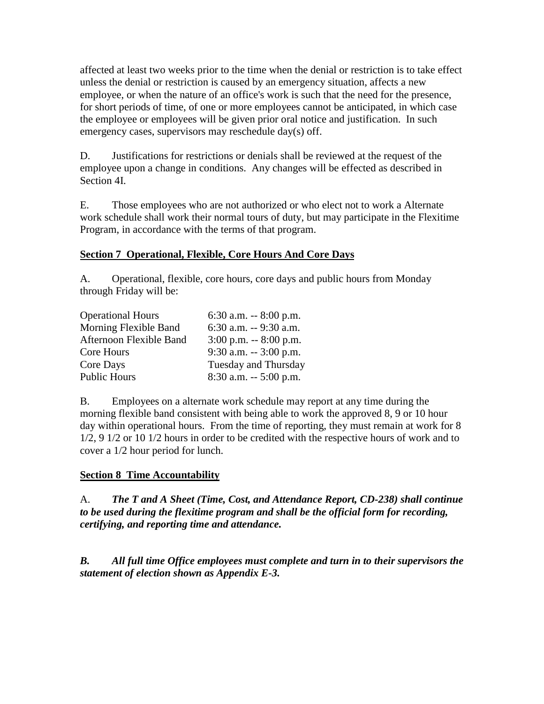affected at least two weeks prior to the time when the denial or restriction is to take effect unless the denial or restriction is caused by an emergency situation, affects a new employee, or when the nature of an office's work is such that the need for the presence, for short periods of time, of one or more employees cannot be anticipated, in which case the employee or employees will be given prior oral notice and justification. In such emergency cases, supervisors may reschedule day(s) off.

D. Justifications for restrictions or denials shall be reviewed at the request of the employee upon a change in conditions. Any changes will be effected as described in Section 4I.

E. Those employees who are not authorized or who elect not to work a Alternate work schedule shall work their normal tours of duty, but may participate in the Flexitime Program, in accordance with the terms of that program.

### **Section 7 Operational, Flexible, Core Hours And Core Days**

A. Operational, flexible, core hours, core days and public hours from Monday through Friday will be:

| 6:30 a.m. $-8:00$ p.m.   |
|--------------------------|
| $6:30$ a.m. $-9:30$ a.m. |
| $3:00$ p.m. $-8:00$ p.m. |
| $9:30$ a.m. $-3:00$ p.m. |
| Tuesday and Thursday     |
| $8:30$ a.m. $-5:00$ p.m. |
|                          |

B. Employees on a alternate work schedule may report at any time during the morning flexible band consistent with being able to work the approved 8, 9 or 10 hour day within operational hours. From the time of reporting, they must remain at work for 8 1/2, 9 1/2 or 10 1/2 hours in order to be credited with the respective hours of work and to cover a 1/2 hour period for lunch.

## **Section 8 Time Accountability**

A. *The T and A Sheet (Time, Cost, and Attendance Report, CD-238) shall continue to be used during the flexitime program and shall be the official form for recording, certifying, and reporting time and attendance.*

*B. All full time Office employees must complete and turn in to their supervisors the statement of election shown as Appendix E-3.*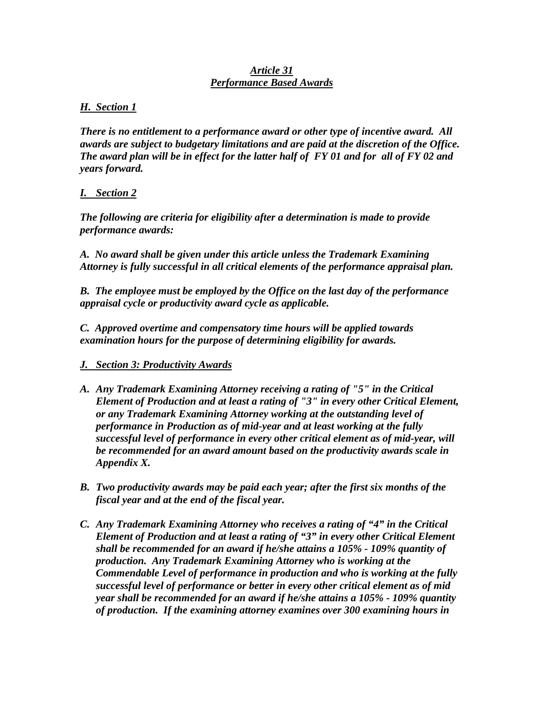#### *Article 31 Performance Based Awards*

#### *H. Section 1*

*There is no entitlement to a performance award or other type of incentive award. All awards are subject to budgetary limitations and are paid at the discretion of the Office. The award plan will be in effect for the latter half of FY 01 and for all of FY 02 and years forward.*

#### *I. Section 2*

*The following are criteria for eligibility after a determination is made to provide performance awards:*

*A. No award shall be given under this article unless the Trademark Examining Attorney is fully successful in all critical elements of the performance appraisal plan.*

*B. The employee must be employed by the Office on the last day of the performance appraisal cycle or productivity award cycle as applicable.*

*C. Approved overtime and compensatory time hours will be applied towards examination hours for the purpose of determining eligibility for awards.*

### *J. Section 3: Productivity Awards*

- *A. Any Trademark Examining Attorney receiving a rating of "5" in the Critical Element of Production and at least a rating of "3" in every other Critical Element, or any Trademark Examining Attorney working at the outstanding level of performance in Production as of mid-year and at least working at the fully successful level of performance in every other critical element as of mid-year, will be recommended for an award amount based on the productivity awards scale in Appendix X.*
- *B. Two productivity awards may be paid each year; after the first six months of the fiscal year and at the end of the fiscal year.*
- *C. Any Trademark Examining Attorney who receives a rating of "4" in the Critical Element of Production and at least a rating of "3" in every other Critical Element shall be recommended for an award if he/she attains a 105% - 109% quantity of production. Any Trademark Examining Attorney who is working at the Commendable Level of performance in production and who is working at the fully successful level of performance or better in every other critical element as of mid year shall be recommended for an award if he/she attains a 105% - 109% quantity of production. If the examining attorney examines over 300 examining hours in*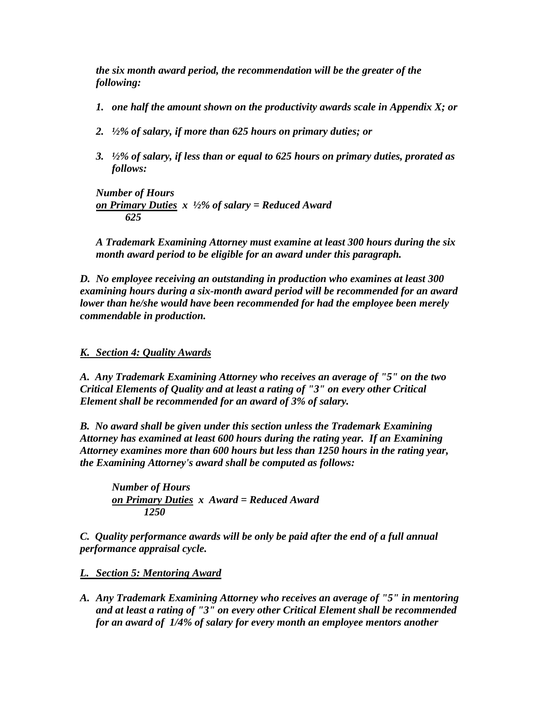*the six month award period, the recommendation will be the greater of the following:*

- *1. one half the amount shown on the productivity awards scale in Appendix X; or*
- *2. ½% of salary, if more than 625 hours on primary duties; or*
- *3. ½% of salary, if less than or equal to 625 hours on primary duties, prorated as follows:*

*Number of Hours on Primary Duties x ½% of salary = Reduced Award 625*

*A Trademark Examining Attorney must examine at least 300 hours during the six month award period to be eligible for an award under this paragraph.*

*D. No employee receiving an outstanding in production who examines at least 300 examining hours during a six-month award period will be recommended for an award lower than he/she would have been recommended for had the employee been merely commendable in production.*

*K. Section 4: Quality Awards*

*A. Any Trademark Examining Attorney who receives an average of "5" on the two Critical Elements of Quality and at least a rating of "3" on every other Critical Element shall be recommended for an award of 3% of salary.*

*B. No award shall be given under this section unless the Trademark Examining Attorney has examined at least 600 hours during the rating year. If an Examining Attorney examines more than 600 hours but less than 1250 hours in the rating year, the Examining Attorney's award shall be computed as follows:*

*Number of Hours on Primary Duties x Award = Reduced Award 1250*

*C. Quality performance awards will be only be paid after the end of a full annual performance appraisal cycle.*

*L. Section 5: Mentoring Award*

*A. Any Trademark Examining Attorney who receives an average of "5" in mentoring and at least a rating of "3" on every other Critical Element shall be recommended for an award of 1/4% of salary for every month an employee mentors another*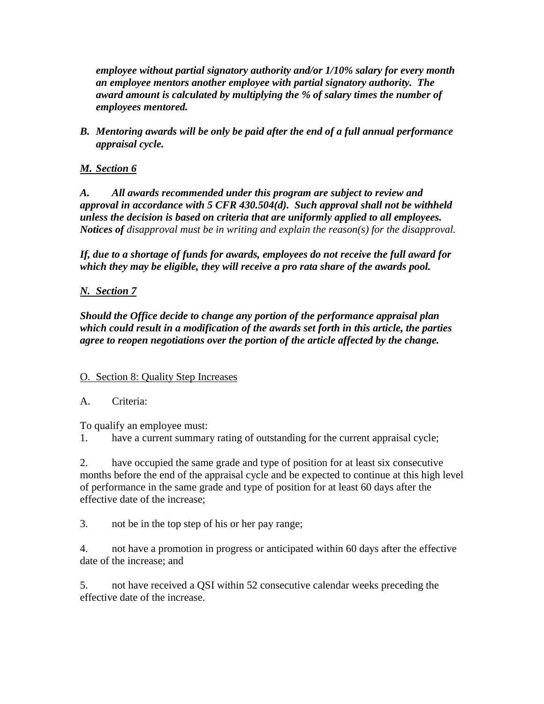*employee without partial signatory authority and/or 1/10% salary for every month an employee mentors another employee with partial signatory authority. The award amount is calculated by multiplying the % of salary times the number of employees mentored.*

*B. Mentoring awards will be only be paid after the end of a full annual performance appraisal cycle.*

### *M. Section 6*

*A. All awards recommended under this program are subject to review and approval in accordance with 5 CFR 430.504(d). Such approval shall not be withheld unless the decision is based on criteria that are uniformly applied to all employees. Notices of disapproval must be in writing and explain the reason(s) for the disapproval.*

*If, due to a shortage of funds for awards, employees do not receive the full award for which they may be eligible, they will receive a pro rata share of the awards pool.*

### *N. Section 7*

*Should the Office decide to change any portion of the performance appraisal plan which could result in a modification of the awards set forth in this article, the parties agree to reopen negotiations over the portion of the article affected by the change.*

### O. Section 8: Quality Step Increases

### A. Criteria:

To qualify an employee must:

1. have a current summary rating of outstanding for the current appraisal cycle;

2. have occupied the same grade and type of position for at least six consecutive months before the end of the appraisal cycle and be expected to continue at this high level of performance in the same grade and type of position for at least 60 days after the effective date of the increase;

3. not be in the top step of his or her pay range;

4. not have a promotion in progress or anticipated within 60 days after the effective date of the increase; and

5. not have received a QSI within 52 consecutive calendar weeks preceding the effective date of the increase.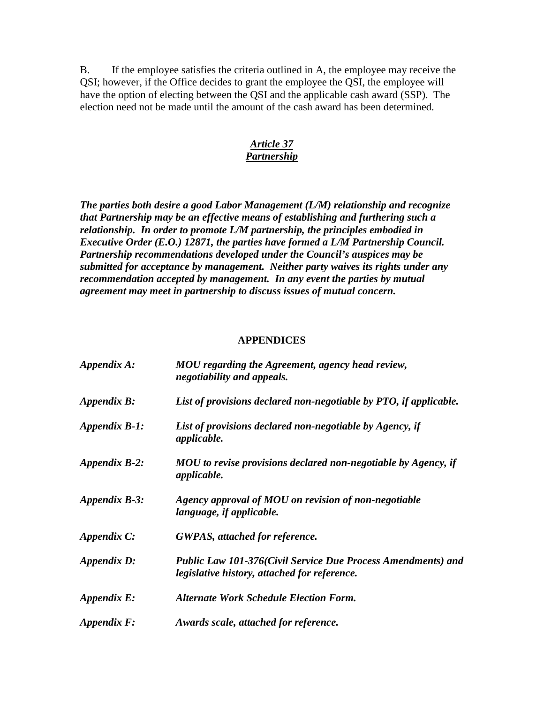B. If the employee satisfies the criteria outlined in A, the employee may receive the QSI; however, if the Office decides to grant the employee the QSI, the employee will have the option of electing between the QSI and the applicable cash award (SSP). The election need not be made until the amount of the cash award has been determined.

#### *Article 37 Partnership*

*The parties both desire a good Labor Management (L/M) relationship and recognize that Partnership may be an effective means of establishing and furthering such a relationship. In order to promote L/M partnership, the principles embodied in Executive Order (E.O.) 12871, the parties have formed a L/M Partnership Council. Partnership recommendations developed under the Council's auspices may be submitted for acceptance by management. Neither party waives its rights under any recommendation accepted by management. In any event the parties by mutual agreement may meet in partnership to discuss issues of mutual concern.*

#### **APPENDICES**

| Appendix A:          | MOU regarding the Agreement, agency head review,<br>negotiability and appeals.                                      |
|----------------------|---------------------------------------------------------------------------------------------------------------------|
| Appendix B:          | List of provisions declared non-negotiable by PTO, if applicable.                                                   |
| Appendix B-1:        | List of provisions declared non-negotiable by Agency, if<br><i>applicable.</i>                                      |
| <b>Appendix B-2:</b> | MOU to revise provisions declared non-negotiable by Agency, if<br><i>applicable.</i>                                |
| Appendix B-3:        | Agency approval of MOU on revision of non-negotiable<br><i>language, if applicable.</i>                             |
| Appendix C:          | <b>GWPAS</b> , attached for reference.                                                                              |
| Appendix D:          | <b>Public Law 101-376(Civil Service Due Process Amendments) and</b><br>legislative history, attached for reference. |
| Appendix E:          | <b>Alternate Work Schedule Election Form.</b>                                                                       |
| $Appendix F$ :       | Awards scale, attached for reference.                                                                               |